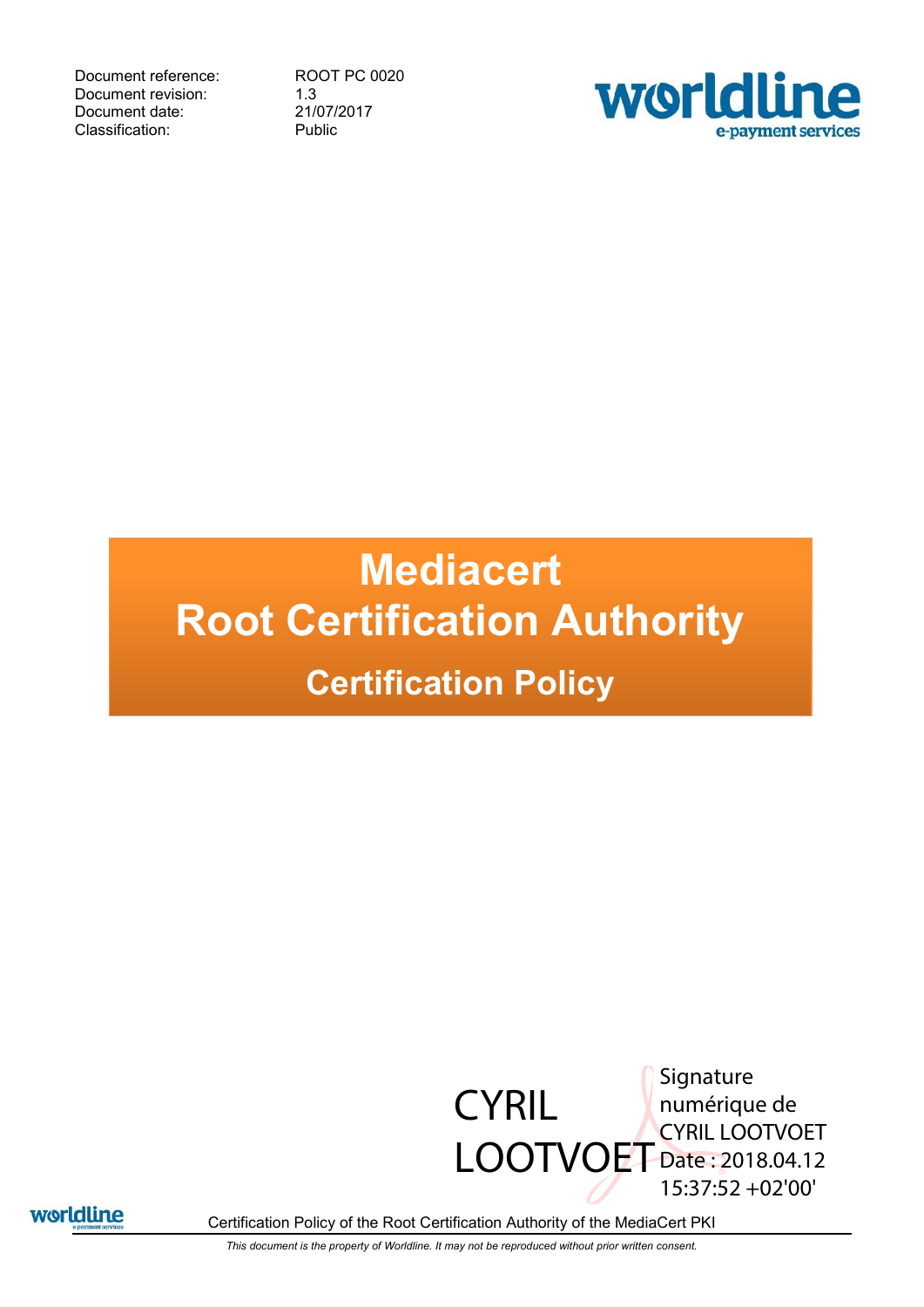Document reference: ROOT PC 0020 Document revision: 1.3<br>Document date: 21/07/2017 Document date: 21/07/2<br>Classification: Public Classification:



# **Mediacert Root Certification Authority Certification Policy**





Certification Policy of the Root Certification Authority of the MediaCert PKI

*This document is the property of Worldline. It may not be reproduced without prior written consent.*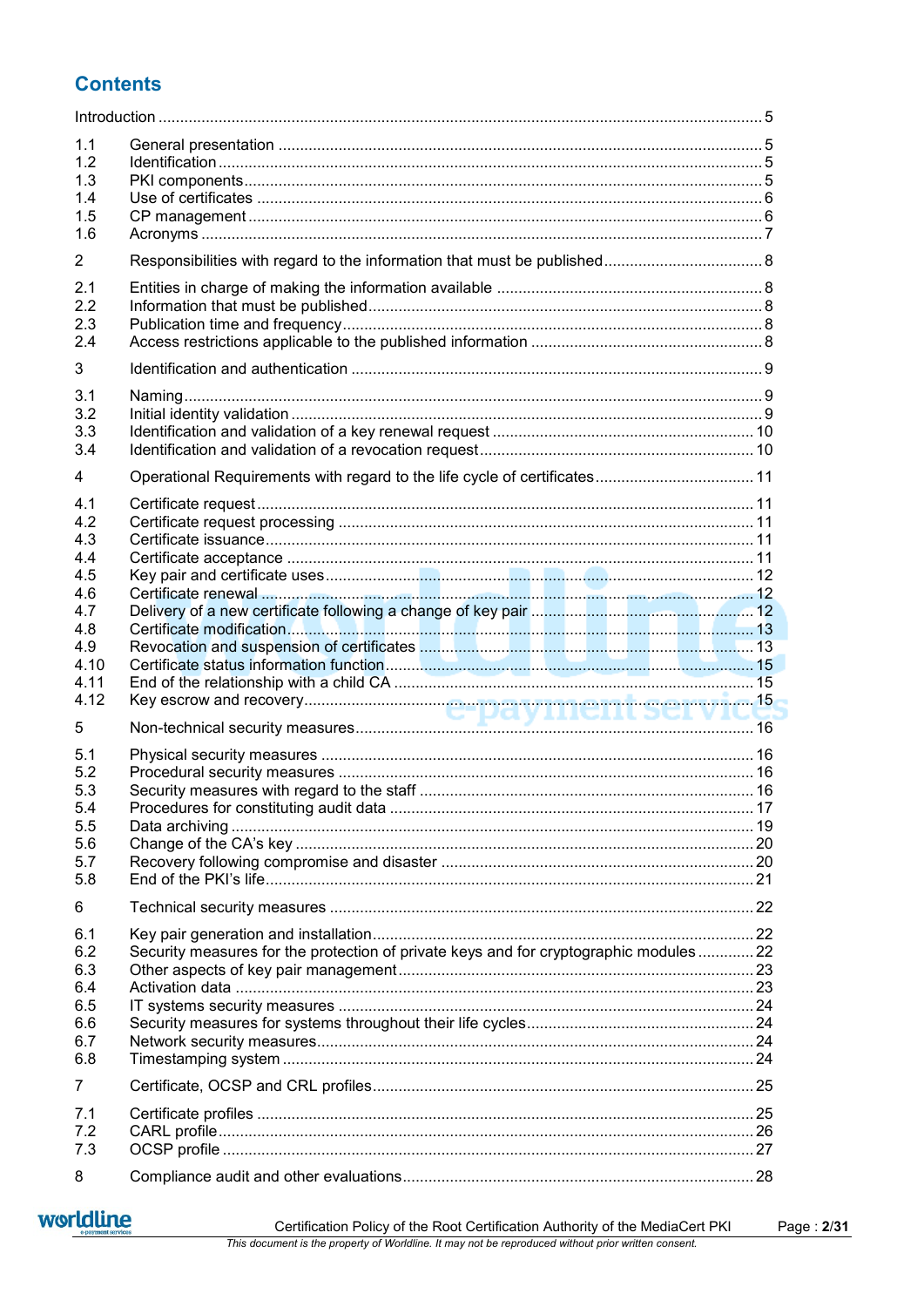# **Contents**

| 1.1<br>1.2<br>1.3<br>1.4<br>1.5<br>1.6                                              |                                                                                       |  |
|-------------------------------------------------------------------------------------|---------------------------------------------------------------------------------------|--|
| $\overline{2}$                                                                      |                                                                                       |  |
| 2.1<br>2.2<br>2.3<br>2.4                                                            |                                                                                       |  |
| 3                                                                                   |                                                                                       |  |
| 3.1<br>3.2<br>3.3<br>3.4                                                            |                                                                                       |  |
| 4                                                                                   | Operational Requirements with regard to the life cycle of certificates 11             |  |
| 4.1<br>4.2<br>4.3<br>4.4<br>4.5<br>4.6<br>4.7<br>4.8<br>4.9<br>4.10<br>4.11<br>4.12 |                                                                                       |  |
| 5                                                                                   |                                                                                       |  |
| 5.1<br>5.2<br>5.3<br>5.4<br>5.5<br>5.6<br>5.7<br>5.8                                |                                                                                       |  |
| 6                                                                                   |                                                                                       |  |
| 6.1<br>6.2<br>6.3<br>6.4<br>6.5<br>6.6<br>6.7<br>6.8                                | Security measures for the protection of private keys and for cryptographic modules 22 |  |
| 7                                                                                   |                                                                                       |  |
| 7.1<br>7.2<br>7.3                                                                   |                                                                                       |  |
| 8                                                                                   |                                                                                       |  |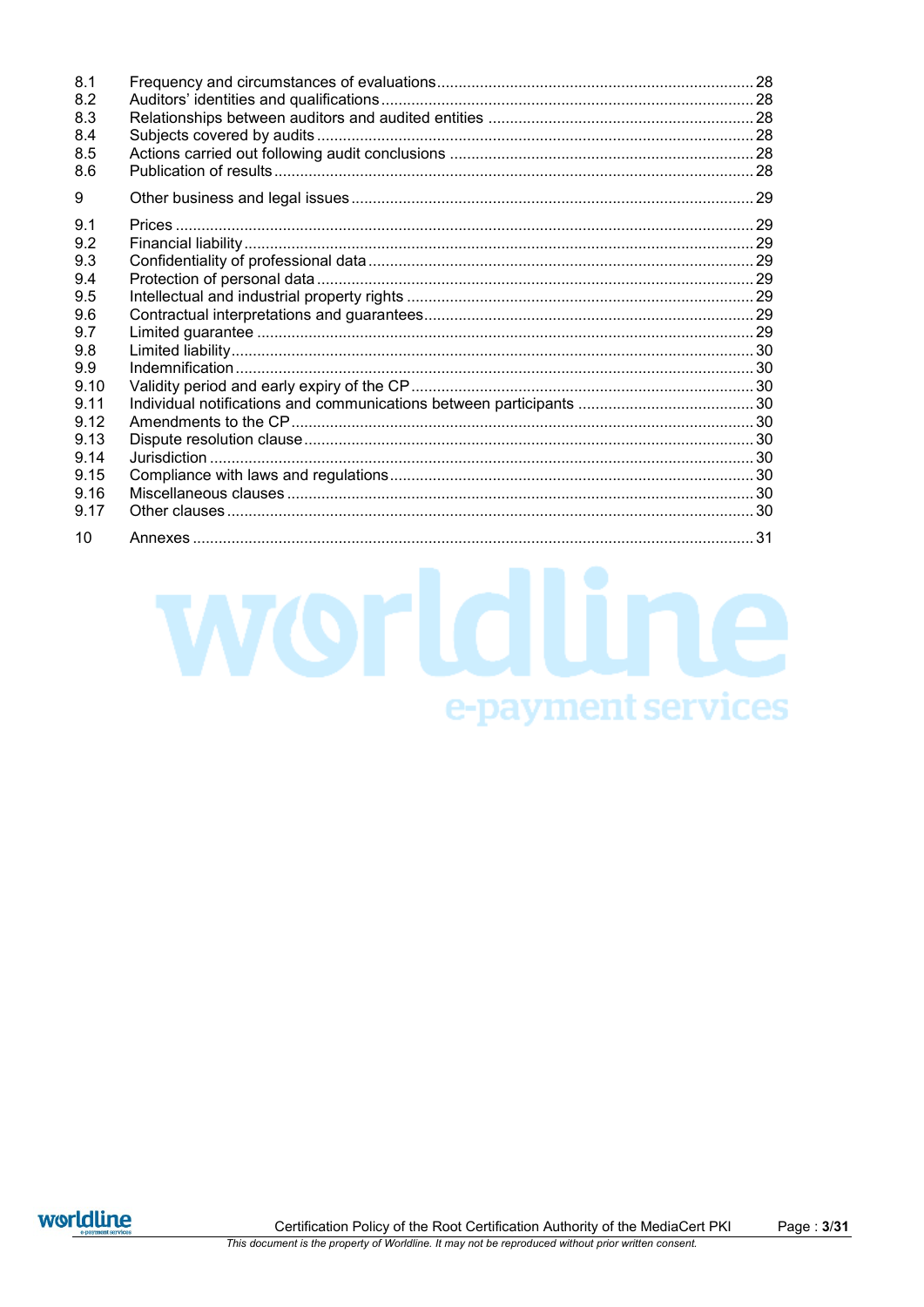| 8.1  |  |
|------|--|
| 8.2  |  |
| 8.3  |  |
| 8.4  |  |
| 8.5  |  |
| 8.6  |  |
| 9    |  |
| 9.1  |  |
| 9.2  |  |
| 9.3  |  |
| 9.4  |  |
| 9.5  |  |
| 9.6  |  |
| 9.7  |  |
| 9.8  |  |
| 9.9  |  |
| 9.10 |  |
| 9.11 |  |
| 9.12 |  |
| 9.13 |  |
| 9.14 |  |
| 9.15 |  |
| 9.16 |  |
| 9.17 |  |
| 10   |  |

worldline

e-payment services

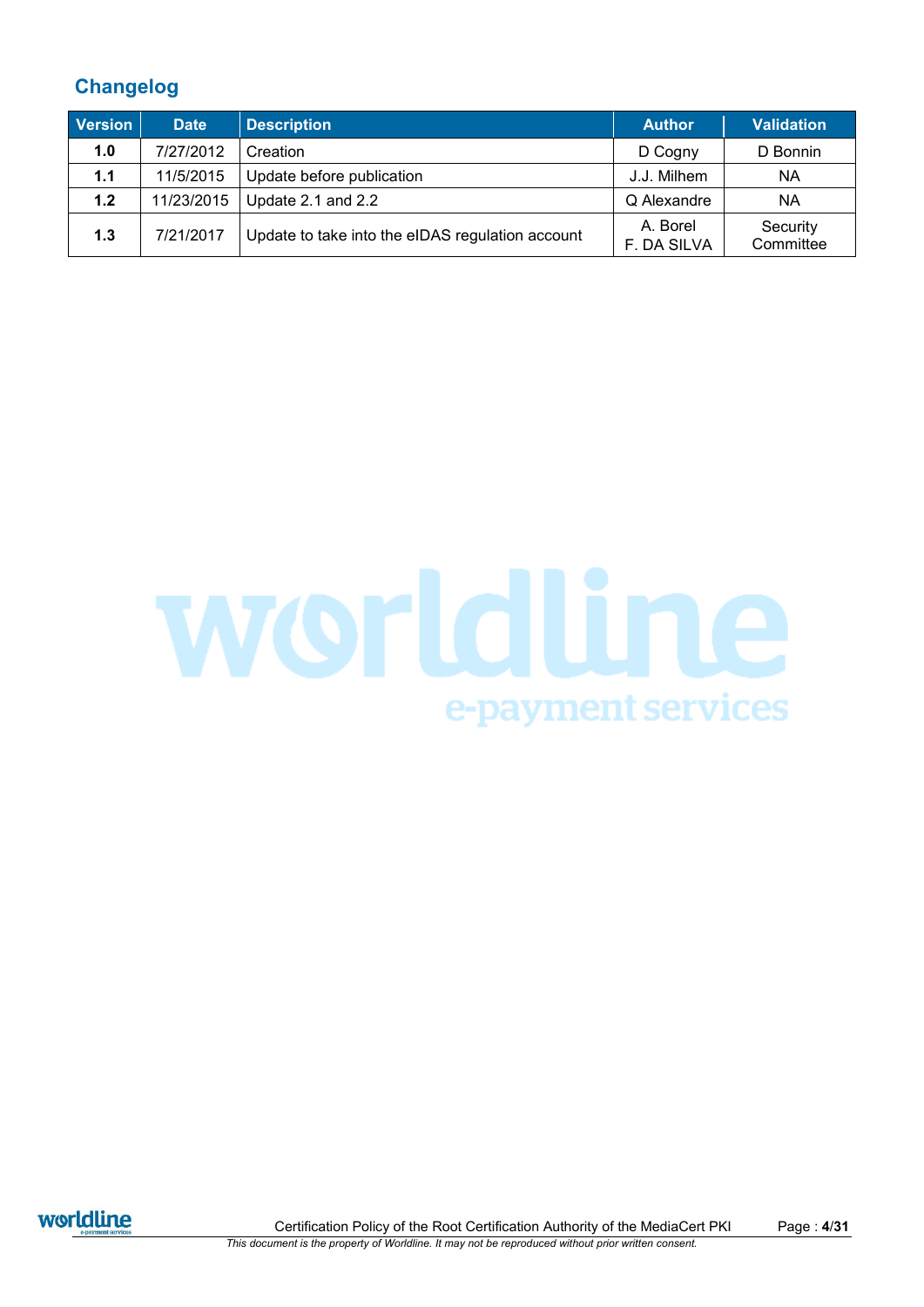# **Changelog**

| <b>Version</b> | <b>Date</b> | <b>Description</b>                               | <b>Author</b>           | <b>Validation</b>     |
|----------------|-------------|--------------------------------------------------|-------------------------|-----------------------|
| 1.0            | 7/27/2012   | Creation                                         | D Cogny                 | D Bonnin              |
| 1.1            | 11/5/2015   | Update before publication                        | J.J. Milhem             | ΝA                    |
| 1.2            | 11/23/2015  | Update 2.1 and 2.2                               | Q Alexandre             | ΝA                    |
| 1.3            | 7/21/2017   | Update to take into the eIDAS regulation account | A. Borel<br>F. DA SILVA | Security<br>Committee |





Certification Policy of the Root Certification Authority of the MediaCert PKI Page : **4**/**31** *This document is the property of Worldline. It may not be reproduced without prior written consent.*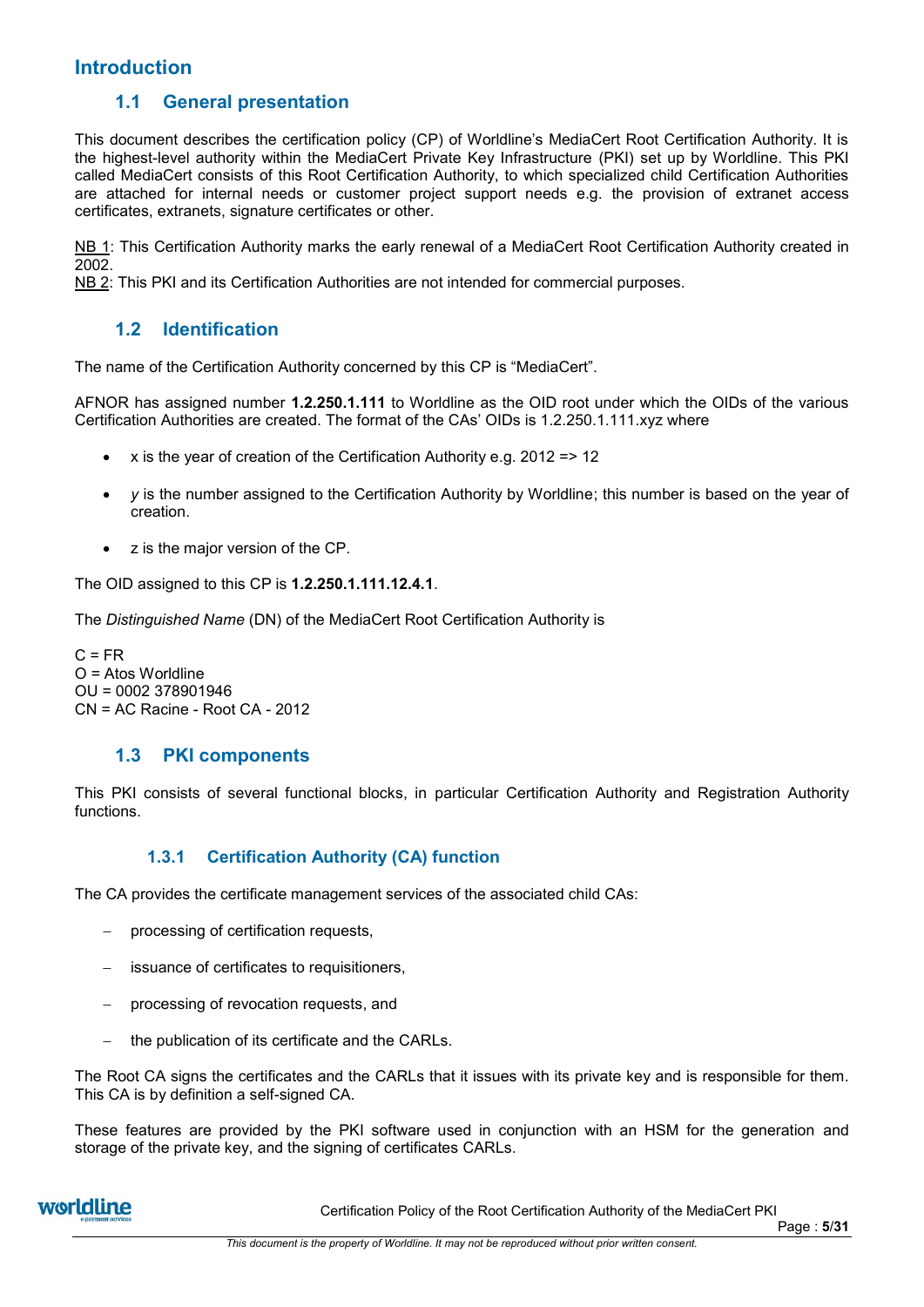# **Introduction**

# **1.1 General presentation**

This document describes the certification policy (CP) of Worldline's MediaCert Root Certification Authority. It is the highest-level authority within the MediaCert Private Key Infrastructure (PKI) set up by Worldline. This PKI called MediaCert consists of this Root Certification Authority, to which specialized child Certification Authorities are attached for internal needs or customer project support needs e.g. the provision of extranet access certificates, extranets, signature certificates or other.

NB 1: This Certification Authority marks the early renewal of a MediaCert Root Certification Authority created in 2002.

NB 2: This PKI and its Certification Authorities are not intended for commercial purposes.

# **1.2 Identification**

The name of the Certification Authority concerned by this CP is "MediaCert".

AFNOR has assigned number **1.2.250.1.111** to Worldline as the OID root under which the OIDs of the various Certification Authorities are created. The format of the CAs' OIDs is 1.2.250.1.111.xyz where

- x is the year of creation of the Certification Authority e.g. 2012 => 12
- *y* is the number assigned to the Certification Authority by Worldline; this number is based on the year of creation.
- z is the major version of the CP.

The OID assigned to this CP is **1.2.250.1.111.12.4.1**.

The *Distinguished Name* (DN) of the MediaCert Root Certification Authority is

 $C = FR$  $O =$  Atos Worldline OU = 0002 378901946 CN = AC Racine - Root CA - 2012

# **1.3 PKI components**

This PKI consists of several functional blocks, in particular Certification Authority and Registration Authority functions.

## **1.3.1 Certification Authority (CA) function**

The CA provides the certificate management services of the associated child CAs:

- processing of certification requests,
- issuance of certificates to requisitioners,
- processing of revocation requests, and
- the publication of its certificate and the CARLs.

The Root CA signs the certificates and the CARLs that it issues with its private key and is responsible for them. This CA is by definition a self-signed CA.

These features are provided by the PKI software used in conjunction with an HSM for the generation and storage of the private key, and the signing of certificates CARLs.

Certification Policy of the Root Certification Authority of the MediaCert PKI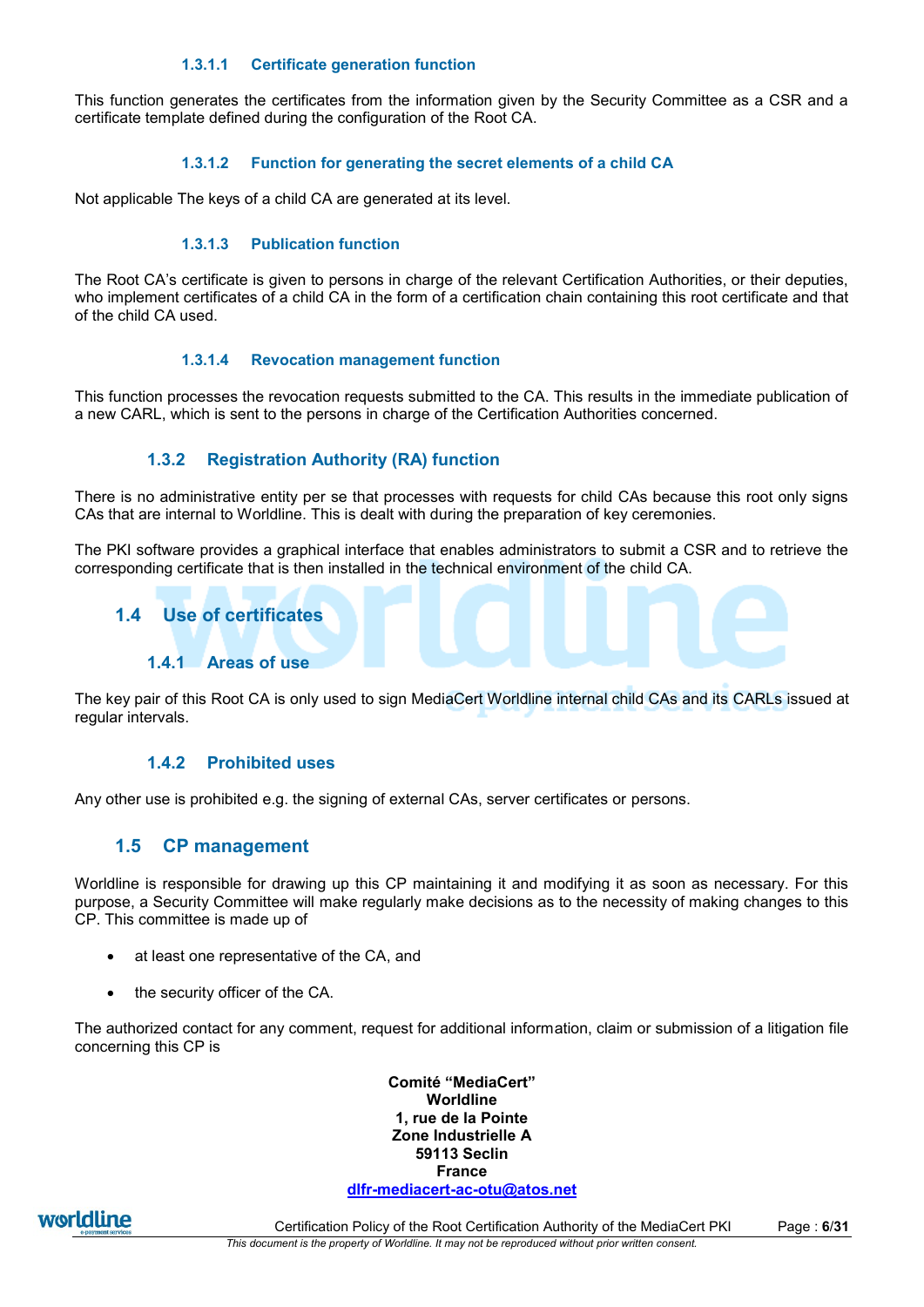#### **1.3.1.1 Certificate generation function**

This function generates the certificates from the information given by the Security Committee as a CSR and a certificate template defined during the configuration of the Root CA.

#### **1.3.1.2 Function for generating the secret elements of a child CA**

Not applicable The keys of a child CA are generated at its level.

#### **1.3.1.3 Publication function**

The Root CA's certificate is given to persons in charge of the relevant Certification Authorities, or their deputies, who implement certificates of a child CA in the form of a certification chain containing this root certificate and that of the child CA used.

#### **1.3.1.4 Revocation management function**

This function processes the revocation requests submitted to the CA. This results in the immediate publication of a new CARL, which is sent to the persons in charge of the Certification Authorities concerned.

## **1.3.2 Registration Authority (RA) function**

There is no administrative entity per se that processes with requests for child CAs because this root only signs CAs that are internal to Worldline. This is dealt with during the preparation of key ceremonies.

The PKI software provides a graphical interface that enables administrators to submit a CSR and to retrieve the corresponding certificate that is then installed in the technical environment of the child CA.

## <span id="page-5-0"></span>**1.4 Use of certificates**

#### **1.4.1 Areas of use**

The key pair of this Root CA is only used to sign MediaCert Worldline internal child CAs and its CARLs issued at regular intervals.

#### **1.4.2 Prohibited uses**

Any other use is prohibited e.g. the signing of external CAs, server certificates or persons.

## **1.5 CP management**

Worldline is responsible for drawing up this CP maintaining it and modifying it as soon as necessary. For this purpose, a Security Committee will make regularly make decisions as to the necessity of making changes to this CP. This committee is made up of

- at least one representative of the CA, and
- the security officer of the CA.

The authorized contact for any comment, request for additional information, claim or submission of a litigation file concerning this CP is

> **Comité "MediaCert" Worldline 1, rue de la Pointe Zone Industrielle A 59113 Seclin France [dlfr-mediacert-ac-otu@atos.net](mailto:dlfr-mediacert-ac-otu@atos.net)**

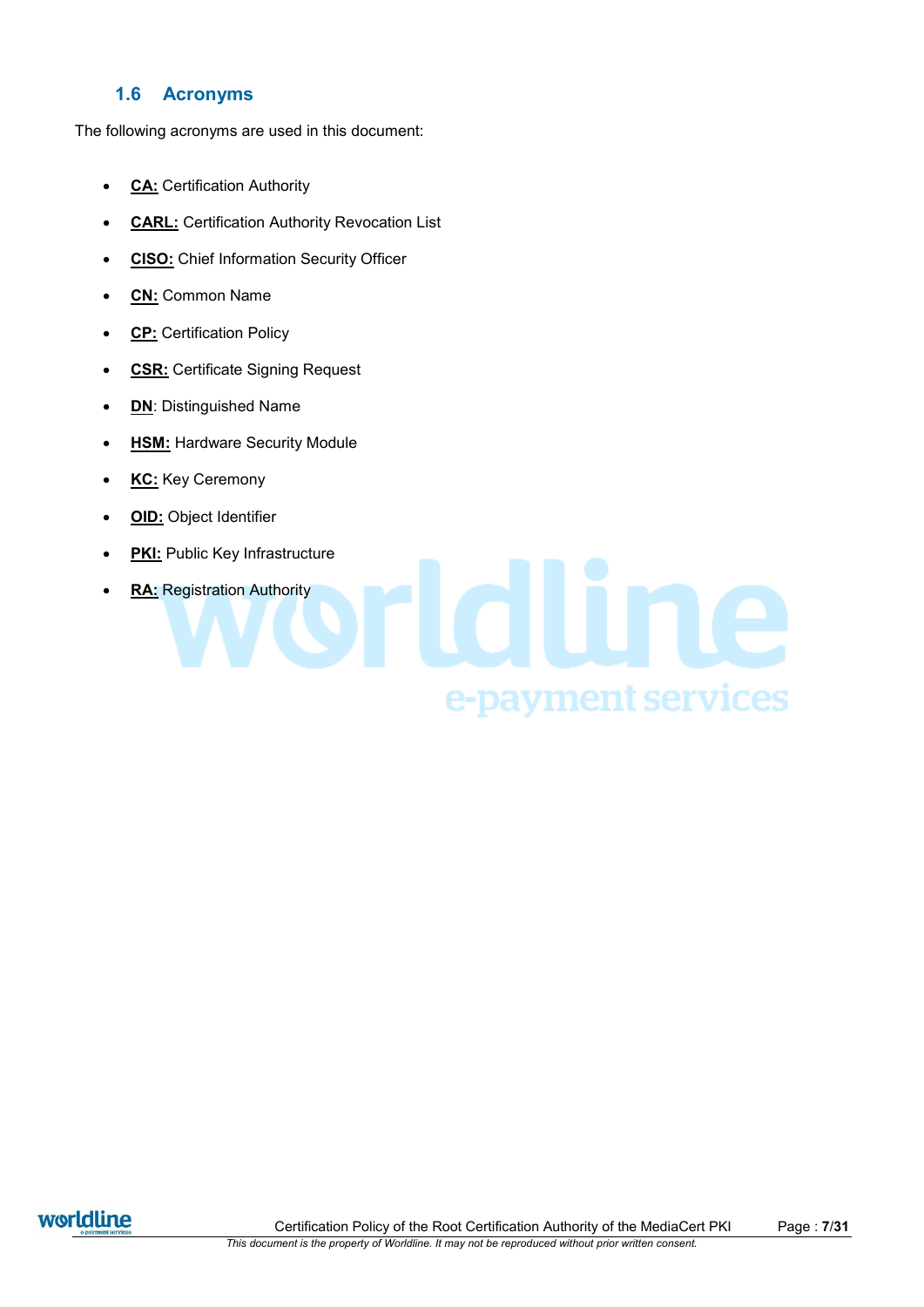# **1.6 Acronyms**

The following acronyms are used in this document:

- **CA:** Certification Authority
- **CARL:** Certification Authority Revocation List
- **CISO:** Chief Information Security Officer
- **CN:** Common Name
- **CP:** Certification Policy
- **CSR:** Certificate Signing Request
- **DN: Distinguished Name**
- HSM: Hardware Security Module
- KC: Key Ceremony
- **OID:** Object Identifier
- **PKI:** Public Key Infrastructure
- **RA:** Registration Authority

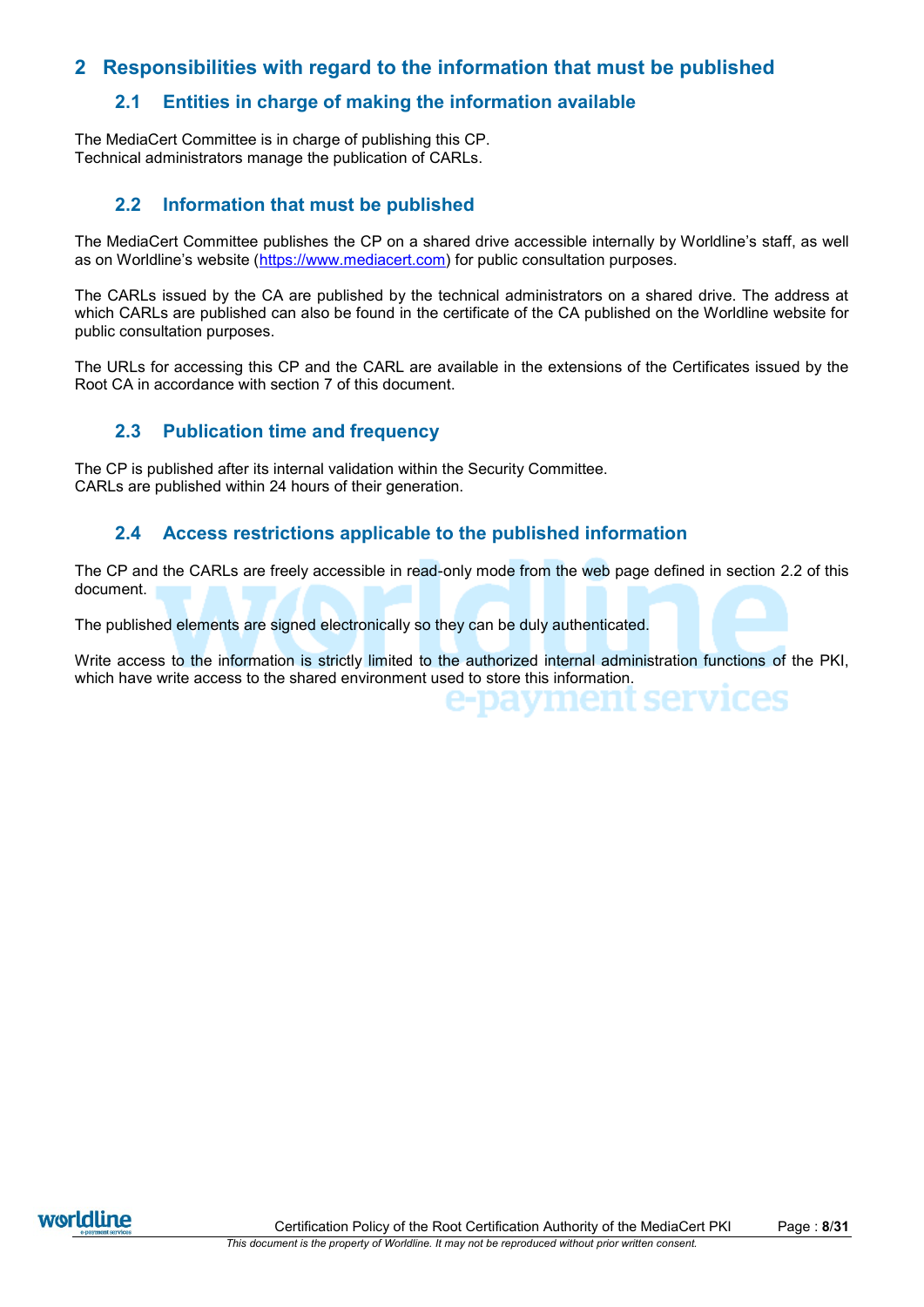# **2 Responsibilities with regard to the information that must be published**

# **2.1 Entities in charge of making the information available**

The MediaCert Committee is in charge of publishing this CP. Technical administrators manage the publication of CARLs.

# <span id="page-7-0"></span>**2.2 Information that must be published**

The MediaCert Committee publishes the CP on a shared drive accessible internally by Worldline's staff, as well as on Worldline's website ([https://www.mediacert.com\)](https://www.mediacert.com/) for public consultation purposes.

The CARLs issued by the CA are published by the technical administrators on a shared drive. The address at which CARLs are published can also be found in the certificate of the CA published on the Worldline website for public consultation purposes.

The URLs for accessing this CP and the CARL are available in the extensions of the Certificates issued by the Root CA in accordance with section [7](#page-24-0) of this document.

# **2.3 Publication time and frequency**

The CP is published after its internal validation within the Security Committee. CARLs are published within 24 hours of their generation.

# **2.4 Access restrictions applicable to the published information**

The CP and the CARLs are freely accessible in read-only mode from the web page defined in section [2.2](#page-7-0) of this document.

The published elements are signed electronically so they can be duly authenticated.

Write access to the information is strictly limited to the authorized internal administration functions of the PKI, which have write access to the shared environment used to store this information.



'es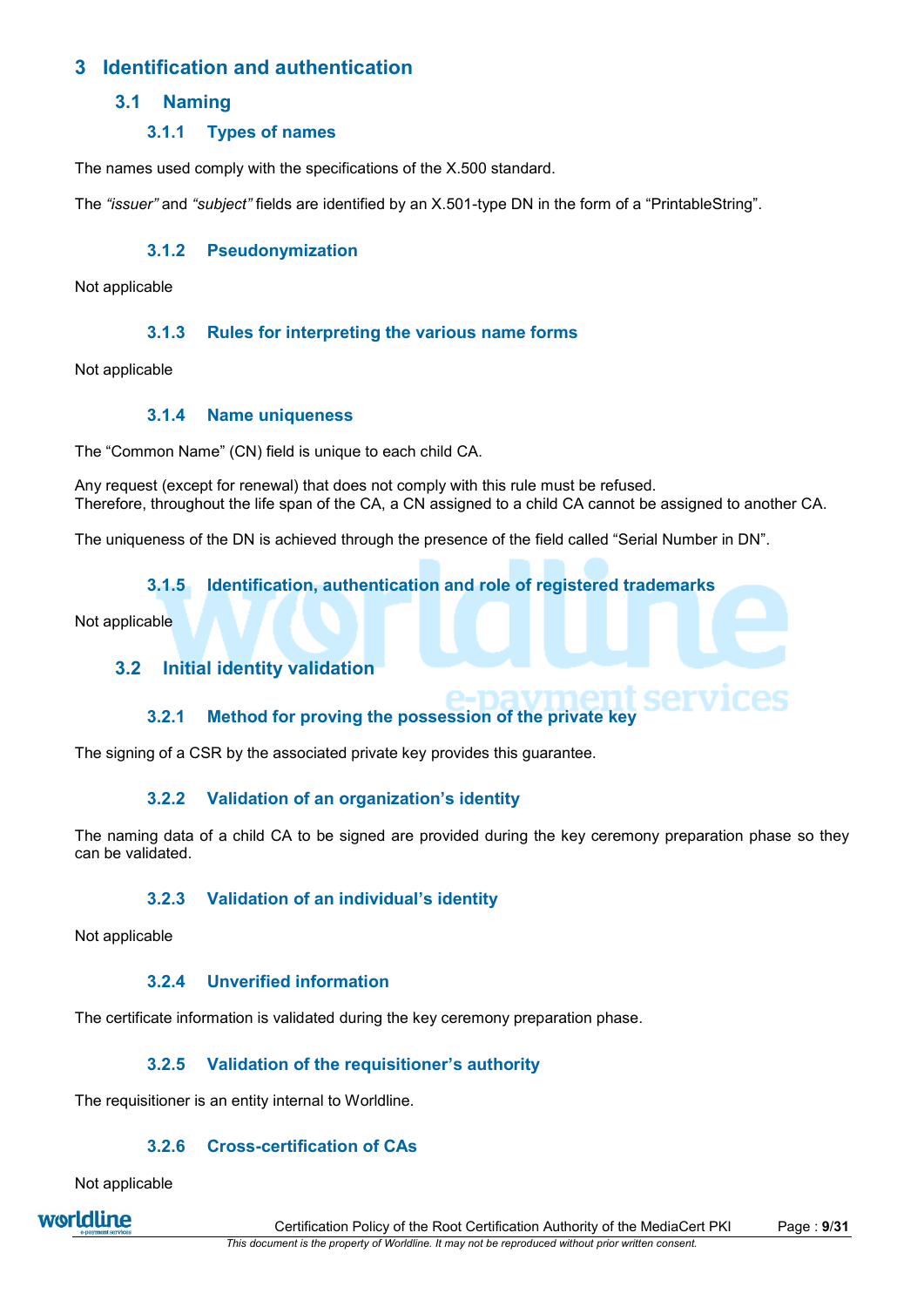# **3 Identification and authentication**

# **3.1 Naming**

# **3.1.1 Types of names**

The names used comply with the specifications of the X.500 standard.

The *"issuer"* and *"subject"* fields are identified by an X.501-type DN in the form of a "PrintableString".

# **3.1.2 Pseudonymization**

Not applicable

# **3.1.3 Rules for interpreting the various name forms**

Not applicable

## **3.1.4 Name uniqueness**

The "Common Name" (CN) field is unique to each child CA.

Any request (except for renewal) that does not comply with this rule must be refused. Therefore, throughout the life span of the CA, a CN assigned to a child CA cannot be assigned to another CA.

The uniqueness of the DN is achieved through the presence of the field called "Serial Number in DN".

## **3.1.5 Identification, authentication and role of registered trademarks**

<span id="page-8-0"></span>Not applicable

# **3.2 Initial identity validation**

# **3.2.1 Method for proving the possession of the private key**

The signing of a CSR by the associated private key provides this guarantee.

## **3.2.2 Validation of an organization's identity**

The naming data of a child CA to be signed are provided during the key ceremony preparation phase so they can be validated.

## **3.2.3 Validation of an individual's identity**

Not applicable

# **3.2.4 Unverified information**

The certificate information is validated during the key ceremony preparation phase.

## **3.2.5 Validation of the requisitioner's authority**

The requisitioner is an entity internal to Worldline.

## **3.2.6 Cross-certification of CAs**

Not applicable

worldline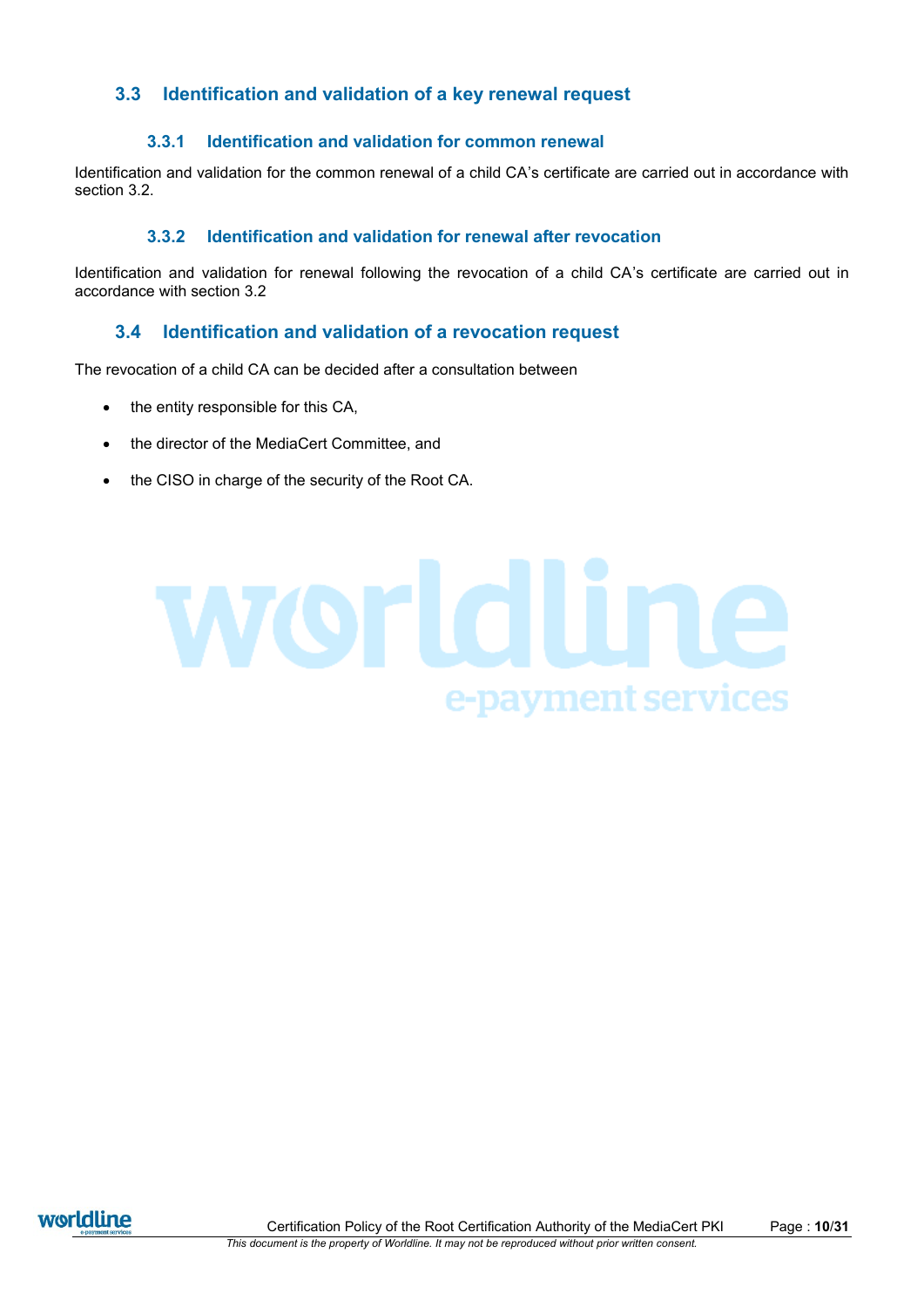# **3.3 Identification and validation of a key renewal request**

## **3.3.1 Identification and validation for common renewal**

Identification and validation for the common renewal of a child CA's certificate are carried out in accordance with section [3.2.](#page-8-0)

#### **3.3.2 Identification and validation for renewal after revocation**

Identification and validation for renewal following the revocation of a child CA's certificate are carried out in accordance with section [3.2](#page-8-0)

# **3.4 Identification and validation of a revocation request**

The revocation of a child CA can be decided after a consultation between

- $\bullet$  the entity responsible for this CA,
- the director of the MediaCert Committee, and
- the CISO in charge of the security of the Root CA.

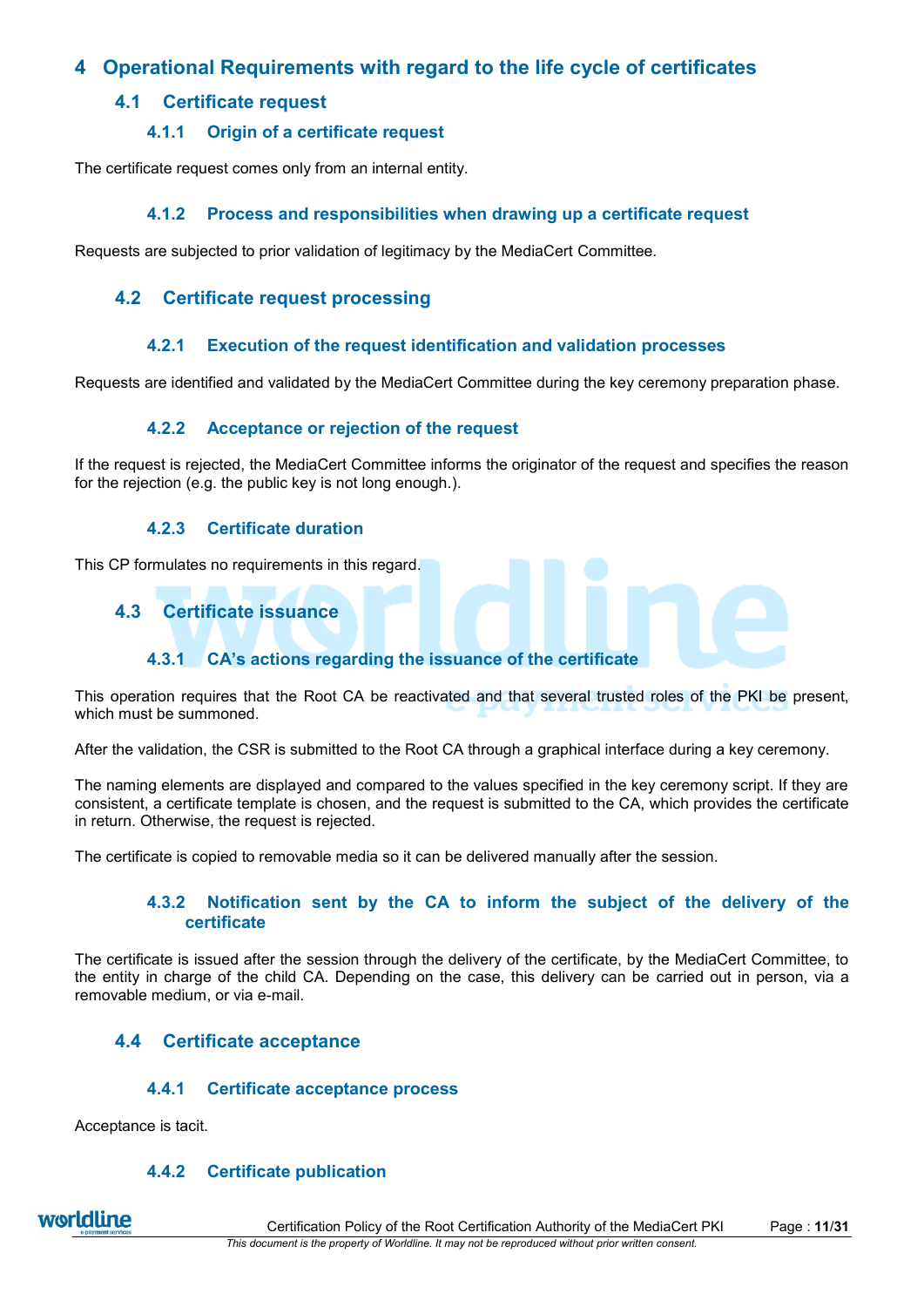# **4 Operational Requirements with regard to the life cycle of certificates**

# **4.1 Certificate request**

# **4.1.1 Origin of a certificate request**

<span id="page-10-0"></span>The certificate request comes only from an internal entity.

# **4.1.2 Process and responsibilities when drawing up a certificate request**

<span id="page-10-1"></span>Requests are subjected to prior validation of legitimacy by the MediaCert Committee.

# **4.2 Certificate request processing**

## **4.2.1 Execution of the request identification and validation processes**

Requests are identified and validated by the MediaCert Committee during the key ceremony preparation phase.

# **4.2.2 Acceptance or rejection of the request**

If the request is rejected, the MediaCert Committee informs the originator of the request and specifies the reason for the rejection (e.g. the public key is not long enough.).

## **4.2.3 Certificate duration**

This CP formulates no requirements in this regard.

# **4.3 Certificate issuance**

# **4.3.1 CA's actions regarding the issuance of the certificate**

This operation requires that the Root CA be reactivated and that several trusted roles of the PKI be present, which must be summoned.

After the validation, the CSR is submitted to the Root CA through a graphical interface during a key ceremony.

The naming elements are displayed and compared to the values specified in the key ceremony script. If they are consistent, a certificate template is chosen, and the request is submitted to the CA, which provides the certificate in return. Otherwise, the request is rejected.

<span id="page-10-2"></span>The certificate is copied to removable media so it can be delivered manually after the session.

## **4.3.2 Notification sent by the CA to inform the subject of the delivery of the certificate**

The certificate is issued after the session through the delivery of the certificate, by the MediaCert Committee, to the entity in charge of the child CA. Depending on the case, this delivery can be carried out in person, via a removable medium, or via e-mail.

# **4.4 Certificate acceptance**

## **4.4.1 Certificate acceptance process**

<span id="page-10-3"></span>Acceptance is tacit.

## **4.4.2 Certificate publication**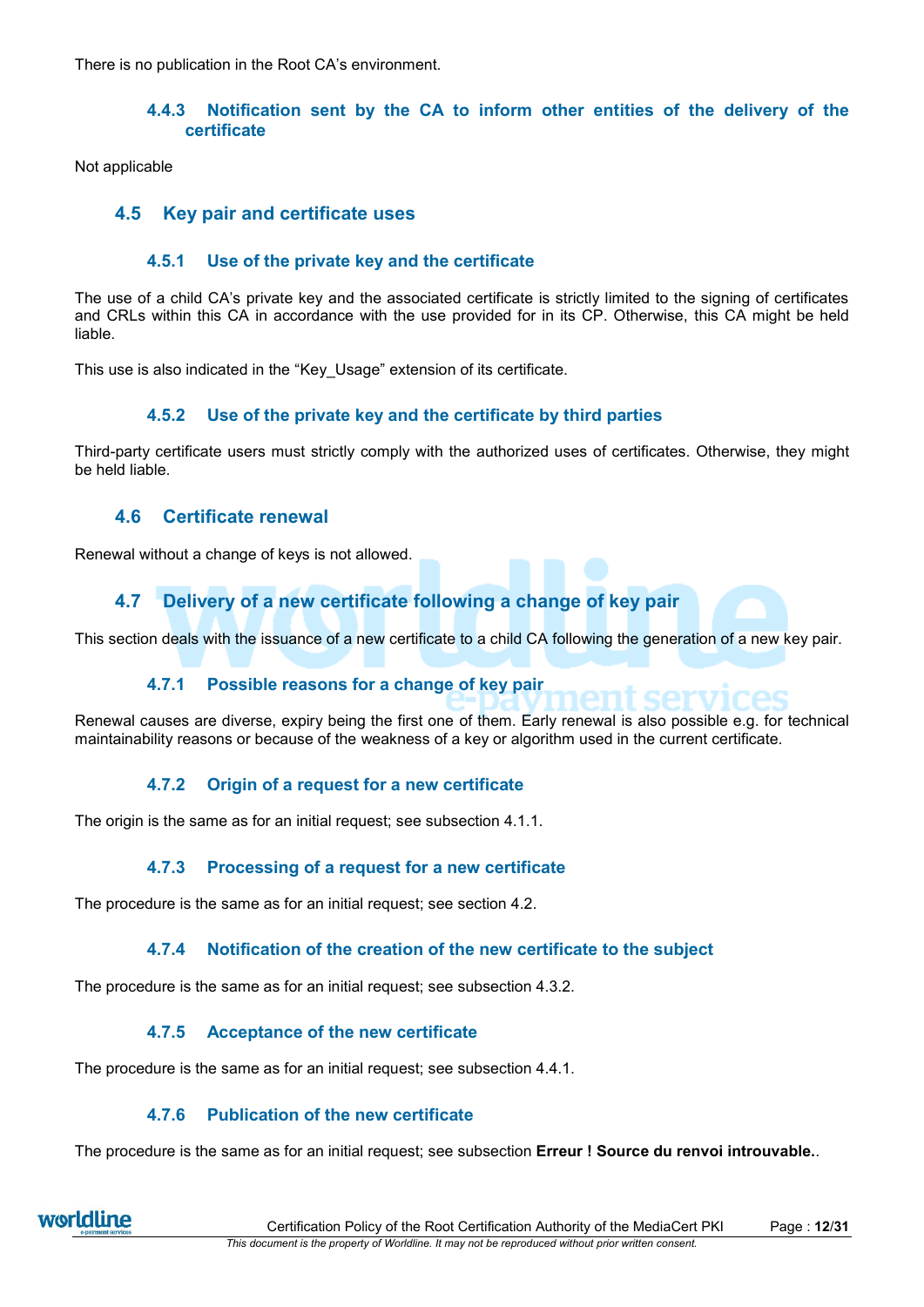<span id="page-11-0"></span>There is no publication in the Root CA's environment.

### **4.4.3 Notification sent by the CA to inform other entities of the delivery of the certificate**

Not applicable

# **4.5 Key pair and certificate uses**

### **4.5.1 Use of the private key and the certificate**

The use of a child CA's private key and the associated certificate is strictly limited to the signing of certificates and CRLs within this CA in accordance with the use provided for in its CP. Otherwise, this CA might be held liable.

This use is also indicated in the "Key\_Usage" extension of its certificate.

### **4.5.2 Use of the private key and the certificate by third parties**

Third-party certificate users must strictly comply with the authorized uses of certificates. Otherwise, they might be held liable.

## **4.6 Certificate renewal**

Renewal without a change of keys is not allowed.

# **4.7 Delivery of a new certificate following a change of key pair**

This section deals with the issuance of a new certificate to a child CA following the generation of a new key pair.

## **4.7.1 Possible reasons for a change of key pair**

Renewal causes are diverse, expiry being the first one of them. Early renewal is also possible e.g. for technical maintainability reasons or because of the weakness of a key or algorithm used in the current certificate.

## **4.7.2 Origin of a request for a new certificate**

The origin is the same as for an initial request; see subsection [4.1.1.](#page-10-0)

## **4.7.3 Processing of a request for a new certificate**

The procedure is the same as for an initial request; see section [4.2.](#page-10-1)

## **4.7.4 Notification of the creation of the new certificate to the subject**

The procedure is the same as for an initial request; see subsection [4.3.2.](#page-10-2)

## **4.7.5 Acceptance of the new certificate**

The procedure is the same as for an initial request; see subsection [4.4.1.](#page-10-3)

## **4.7.6 Publication of the new certificate**

The procedure is the same as for an initial request; see subsection **Erreur ! Source du renvoi introuvable.**.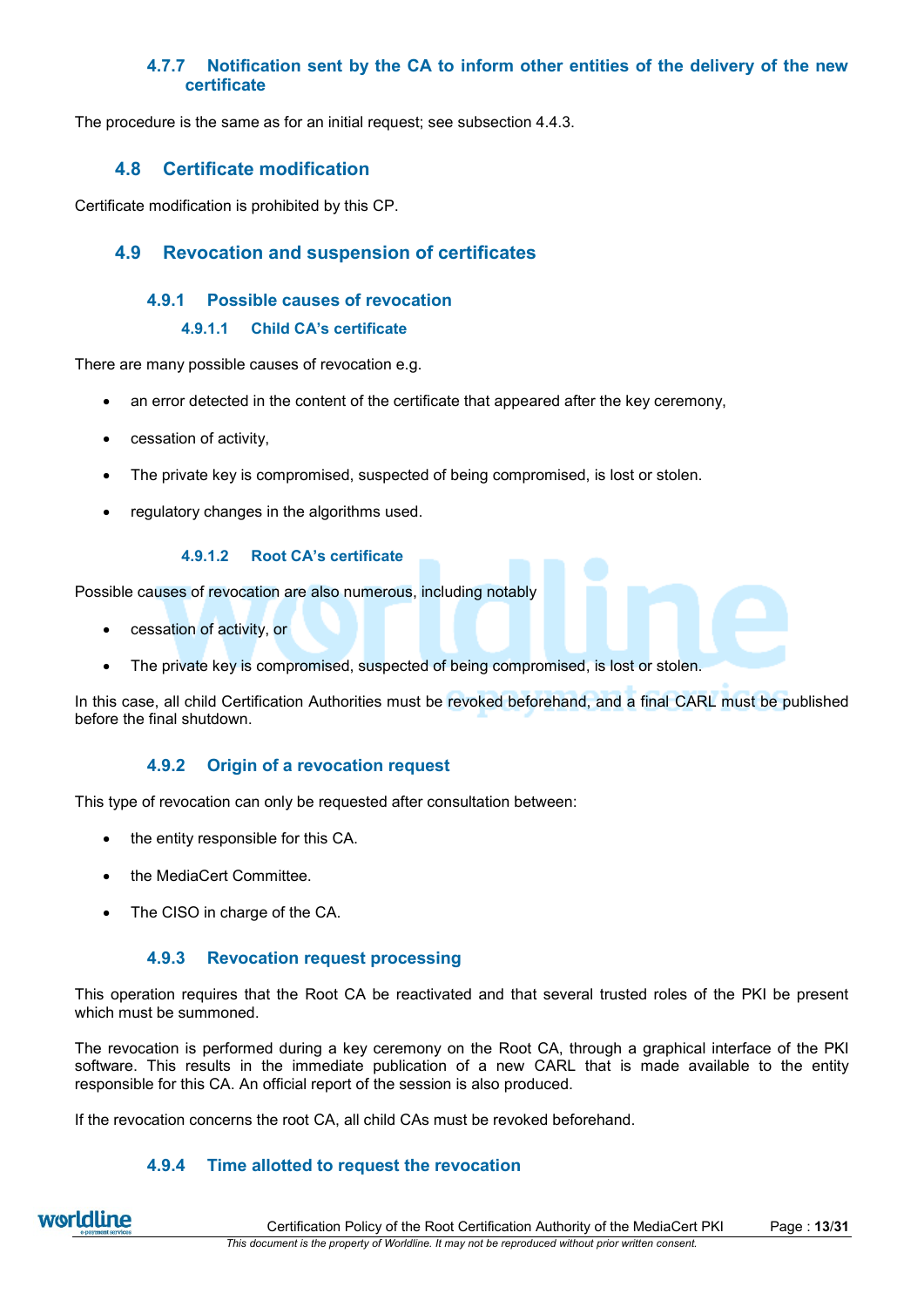# **4.7.7 Notification sent by the CA to inform other entities of the delivery of the new certificate**

The procedure is the same as for an initial request; see subsection [4.4.3.](#page-11-0)

# **4.8 Certificate modification**

Certificate modification is prohibited by this CP.

# **4.9 Revocation and suspension of certificates**

### **4.9.1 Possible causes of revocation**

#### **4.9.1.1 Child CA's certificate**

There are many possible causes of revocation e.g.

- an error detected in the content of the certificate that appeared after the key ceremony,
- cessation of activity,
- The private key is compromised, suspected of being compromised, is lost or stolen.
- regulatory changes in the algorithms used.

#### **4.9.1.2 Root CA's certificate**

Possible causes of revocation are also numerous, including notably

- cessation of activity, or
- The private key is compromised, suspected of being compromised, is lost or stolen.

In this case, all child Certification Authorities must be revoked beforehand, and a final CARL must be published before the final shutdown.

## **4.9.2 Origin of a revocation request**

This type of revocation can only be requested after consultation between:

- the entity responsible for this CA.
- the MediaCert Committee.
- The CISO in charge of the CA.

#### **4.9.3 Revocation request processing**

This operation requires that the Root CA be reactivated and that several trusted roles of the PKI be present which must be summoned.

The revocation is performed during a key ceremony on the Root CA, through a graphical interface of the PKI software. This results in the immediate publication of a new CARL that is made available to the entity responsible for this CA. An official report of the session is also produced.

If the revocation concerns the root CA, all child CAs must be revoked beforehand.

## **4.9.4 Time allotted to request the revocation**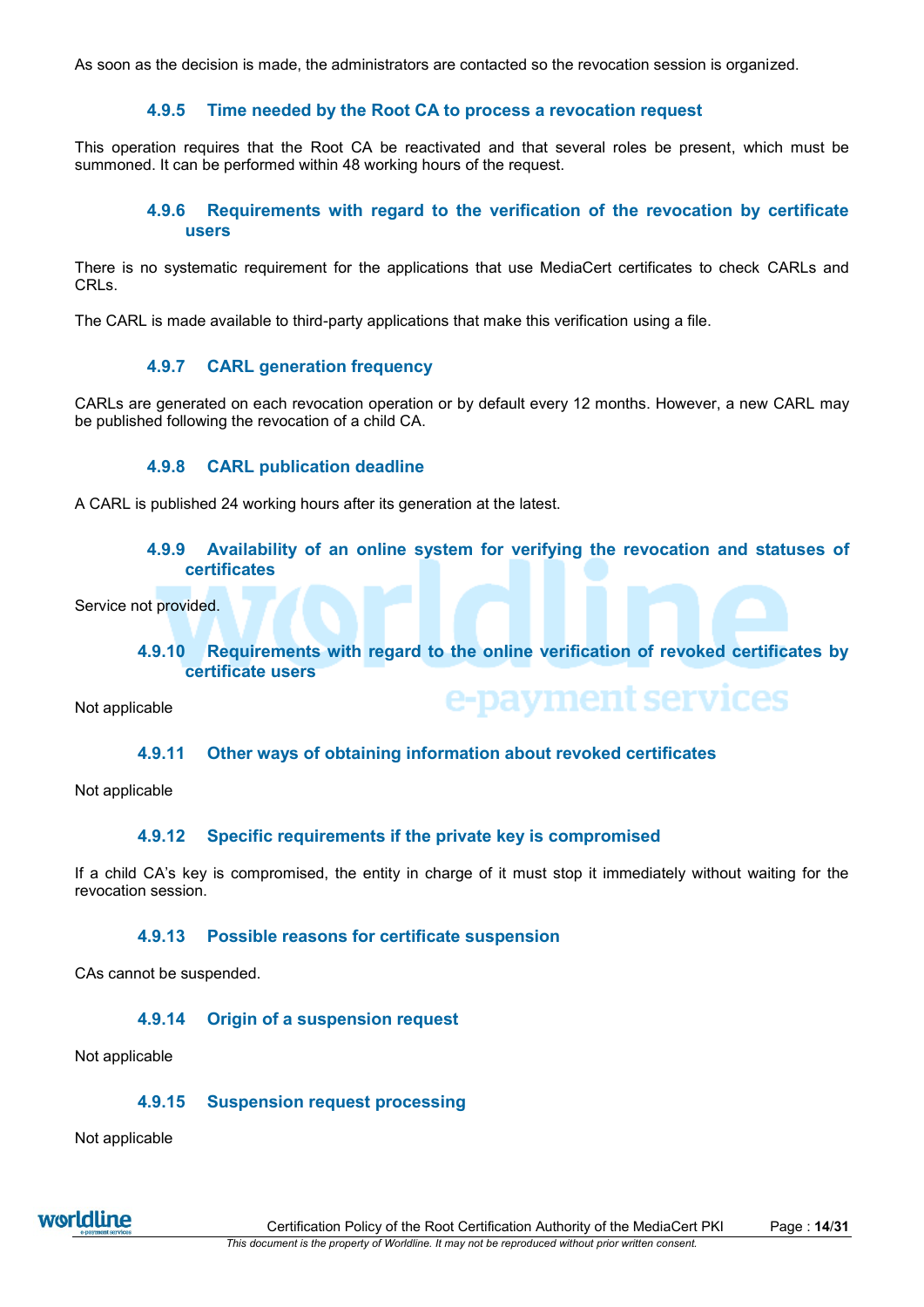As soon as the decision is made, the administrators are contacted so the revocation session is organized.

## **4.9.5 Time needed by the Root CA to process a revocation request**

This operation requires that the Root CA be reactivated and that several roles be present, which must be summoned. It can be performed within 48 working hours of the request.

### **4.9.6 Requirements with regard to the verification of the revocation by certificate users**

There is no systematic requirement for the applications that use MediaCert certificates to check CARLs and CRLs.

The CARL is made available to third-party applications that make this verification using a file.

### **4.9.7 CARL generation frequency**

CARLs are generated on each revocation operation or by default every 12 months. However, a new CARL may be published following the revocation of a child CA.

### **4.9.8 CARL publication deadline**

A CARL is published 24 working hours after its generation at the latest.

#### **4.9.9 Availability of an online system for verifying the revocation and statuses of certificates**

Service not provided.

### **4.9.10 Requirements with regard to the online verification of revoked certificates by certificate users**

e-payment services

Not applicable

#### **4.9.11 Other ways of obtaining information about revoked certificates**

Not applicable

#### **4.9.12 Specific requirements if the private key is compromised**

If a child CA's key is compromised, the entity in charge of it must stop it immediately without waiting for the revocation session.

#### **4.9.13 Possible reasons for certificate suspension**

CAs cannot be suspended.

#### **4.9.14 Origin of a suspension request**

Not applicable

#### **4.9.15 Suspension request processing**

Not applicable

worldline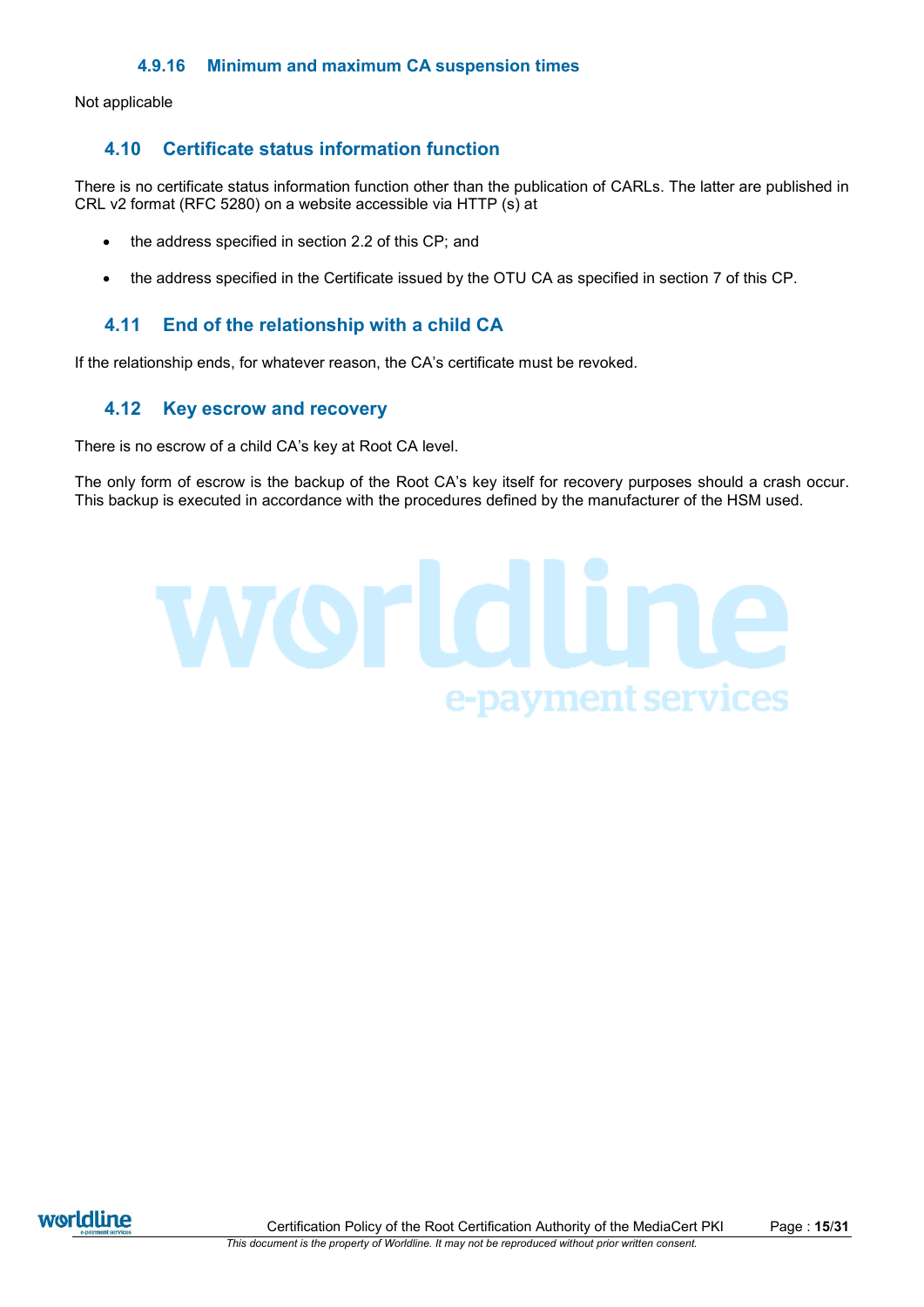Not applicable

# **4.10 Certificate status information function**

There is no certificate status information function other than the publication of CARLs. The latter are published in CRL v2 format (RFC 5280) on a website accessible via HTTP (s) at

- the address specified in section 2.2 of this CP; and
- the address specified in the Certificate issued by the OTU CA as specified in section [7](#page-24-0) of this CP.

# **4.11 End of the relationship with a child CA**

If the relationship ends, for whatever reason, the CA's certificate must be revoked.

# **4.12 Key escrow and recovery**

There is no escrow of a child CA's key at Root CA level.

The only form of escrow is the backup of the Root CA's key itself for recovery purposes should a crash occur. This backup is executed in accordance with the procedures defined by the manufacturer of the HSM used.



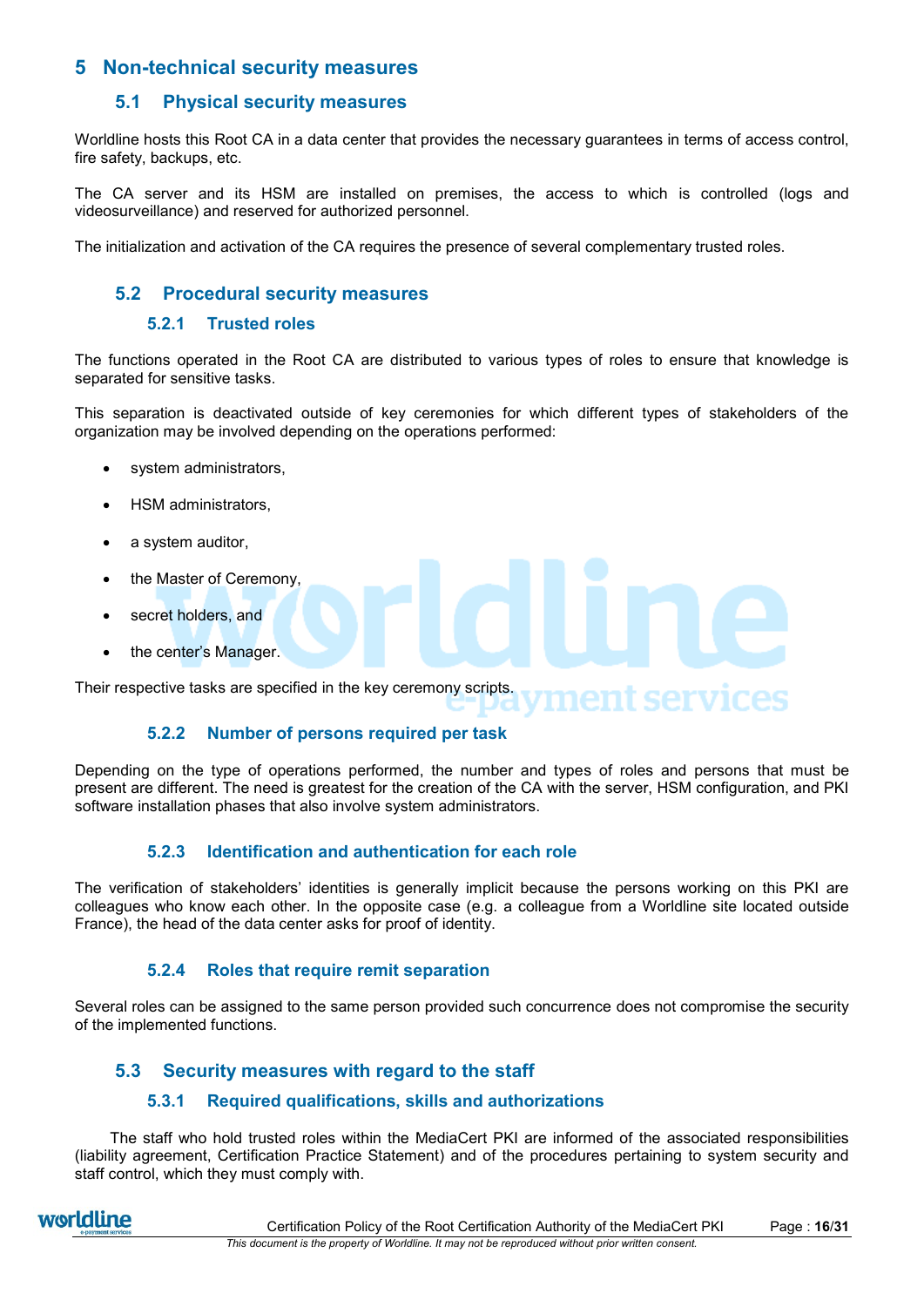# **5 Non-technical security measures**

# **5.1 Physical security measures**

Worldline hosts this Root CA in a data center that provides the necessary guarantees in terms of access control, fire safety, backups, etc.

The CA server and its HSM are installed on premises, the access to which is controlled (logs and videosurveillance) and reserved for authorized personnel.

The initialization and activation of the CA requires the presence of several complementary trusted roles.

# **5.2 Procedural security measures**

#### **5.2.1 Trusted roles**

The functions operated in the Root CA are distributed to various types of roles to ensure that knowledge is separated for sensitive tasks.

This separation is deactivated outside of key ceremonies for which different types of stakeholders of the organization may be involved depending on the operations performed:

- system administrators,
- HSM administrators,
- a system auditor,
- the Master of Ceremony,
- secret holders, and
- the center's Manager.

Their respective tasks are specified in the key ceremony scripts. ment services

#### **5.2.2 Number of persons required per task**

Depending on the type of operations performed, the number and types of roles and persons that must be present are different. The need is greatest for the creation of the CA with the server, HSM configuration, and PKI software installation phases that also involve system administrators.

## **5.2.3 Identification and authentication for each role**

The verification of stakeholders' identities is generally implicit because the persons working on this PKI are colleagues who know each other. In the opposite case (e.g. a colleague from a Worldline site located outside France), the head of the data center asks for proof of identity.

## **5.2.4 Roles that require remit separation**

Several roles can be assigned to the same person provided such concurrence does not compromise the security of the implemented functions.

# **5.3 Security measures with regard to the staff**

## **5.3.1 Required qualifications, skills and authorizations**

The staff who hold trusted roles within the MediaCert PKI are informed of the associated responsibilities (liability agreement, Certification Practice Statement) and of the procedures pertaining to system security and staff control, which they must comply with.

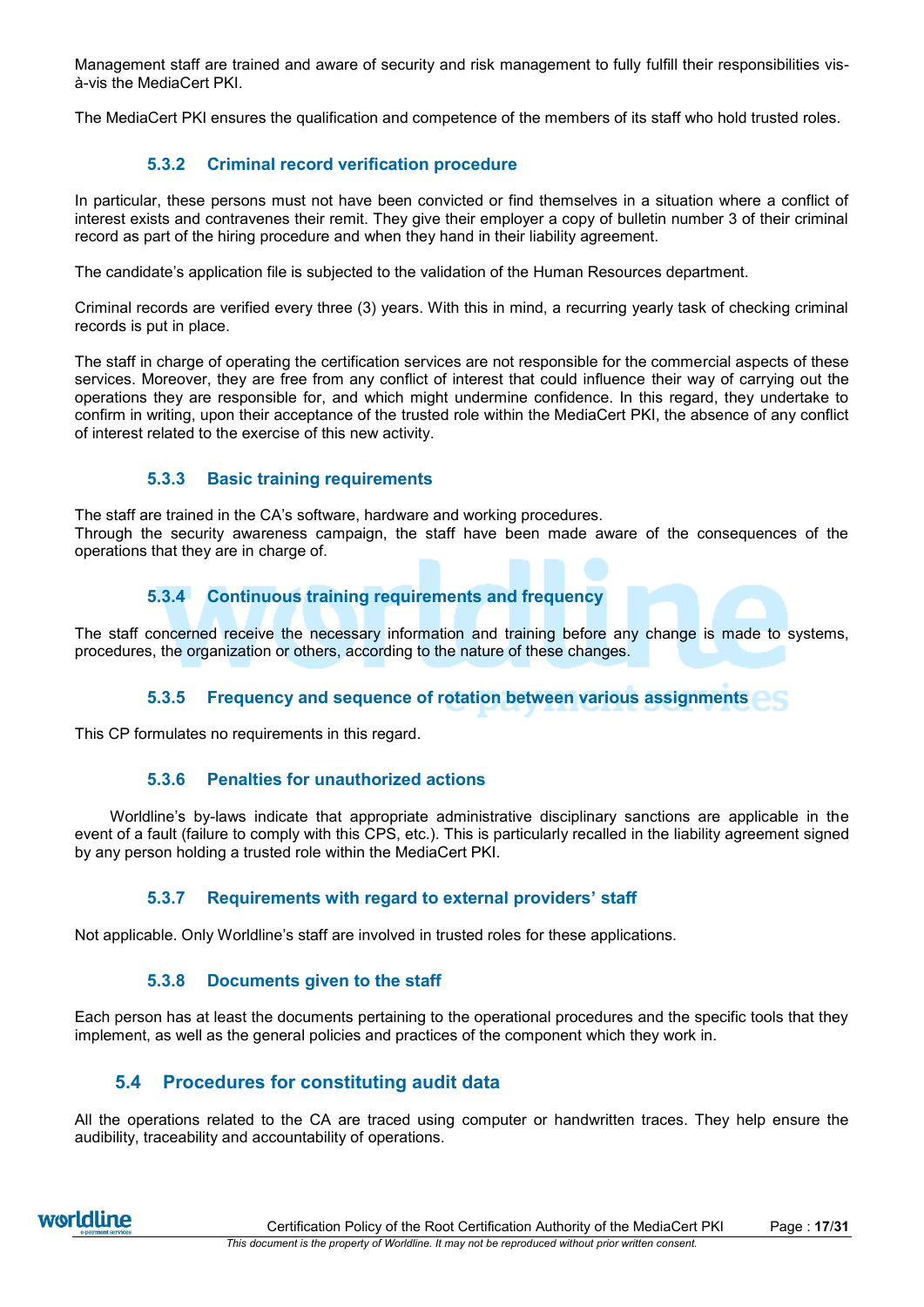Management staff are trained and aware of security and risk management to fully fulfill their responsibilities visà-vis the MediaCert PKI.

The MediaCert PKI ensures the qualification and competence of the members of its staff who hold trusted roles.

# **5.3.2 Criminal record verification procedure**

In particular, these persons must not have been convicted or find themselves in a situation where a conflict of interest exists and contravenes their remit. They give their employer a copy of bulletin number 3 of their criminal record as part of the hiring procedure and when they hand in their liability agreement.

The candidate's application file is subjected to the validation of the Human Resources department.

Criminal records are verified every three (3) years. With this in mind, a recurring yearly task of checking criminal records is put in place.

The staff in charge of operating the certification services are not responsible for the commercial aspects of these services. Moreover, they are free from any conflict of interest that could influence their way of carrying out the operations they are responsible for, and which might undermine confidence. In this regard, they undertake to confirm in writing, upon their acceptance of the trusted role within the MediaCert PKI, the absence of any conflict of interest related to the exercise of this new activity.

# **5.3.3 Basic training requirements**

The staff are trained in the CA's software, hardware and working procedures. Through the security awareness campaign, the staff have been made aware of the consequences of the operations that they are in charge of.

# **5.3.4 Continuous training requirements and frequency**

The staff concerned receive the necessary information and training before any change is made to systems, procedures, the organization or others, according to the nature of these changes.

# **5.3.5 Frequency and sequence of rotation between various assignments**

This CP formulates no requirements in this regard.

## **5.3.6 Penalties for unauthorized actions**

Worldline's by-laws indicate that appropriate administrative disciplinary sanctions are applicable in the event of a fault (failure to comply with this CPS, etc.). This is particularly recalled in the liability agreement signed by any person holding a trusted role within the MediaCert PKI.

## **5.3.7 Requirements with regard to external providers' staff**

Not applicable. Only Worldline's staff are involved in trusted roles for these applications.

## **5.3.8 Documents given to the staff**

Each person has at least the documents pertaining to the operational procedures and the specific tools that they implement, as well as the general policies and practices of the component which they work in.

# **5.4 Procedures for constituting audit data**

All the operations related to the CA are traced using computer or handwritten traces. They help ensure the audibility, traceability and accountability of operations.

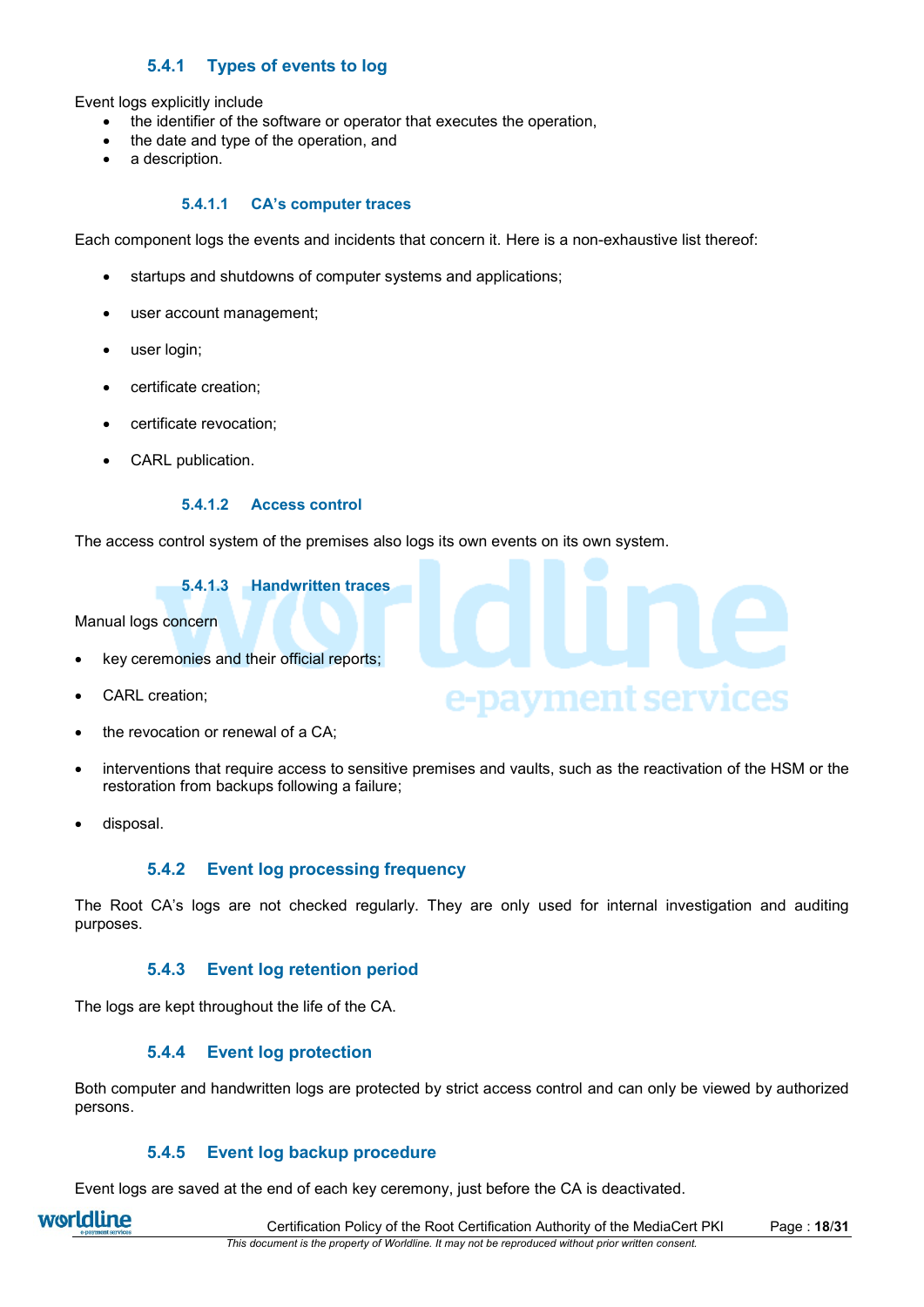# **5.4.1 Types of events to log**

Event logs explicitly include

- the identifier of the software or operator that executes the operation,
- the date and type of the operation, and
- a description.

#### **5.4.1.1 CA's computer traces**

Each component logs the events and incidents that concern it. Here is a non-exhaustive list thereof:

- startups and shutdowns of computer systems and applications;
- user account management;
- user login;
- certificate creation;
- certificate revocation;
- CARL publication.

#### **5.4.1.2 Access control**

The access control system of the premises also logs its own events on its own system.

#### **5.4.1.3 Handwritten traces**

Manual logs concern

- key ceremonies and their official reports;
- CARL creation;
- the revocation or renewal of a CA;
- interventions that require access to sensitive premises and vaults, such as the reactivation of the HSM or the restoration from backups following a failure;

e-payment services

disposal.

#### **5.4.2 Event log processing frequency**

The Root CA's logs are not checked regularly. They are only used for internal investigation and auditing purposes.

#### **5.4.3 Event log retention period**

The logs are kept throughout the life of the CA.

#### **5.4.4 Event log protection**

Both computer and handwritten logs are protected by strict access control and can only be viewed by authorized persons.

#### **5.4.5 Event log backup procedure**

Event logs are saved at the end of each key ceremony, just before the CA is deactivated.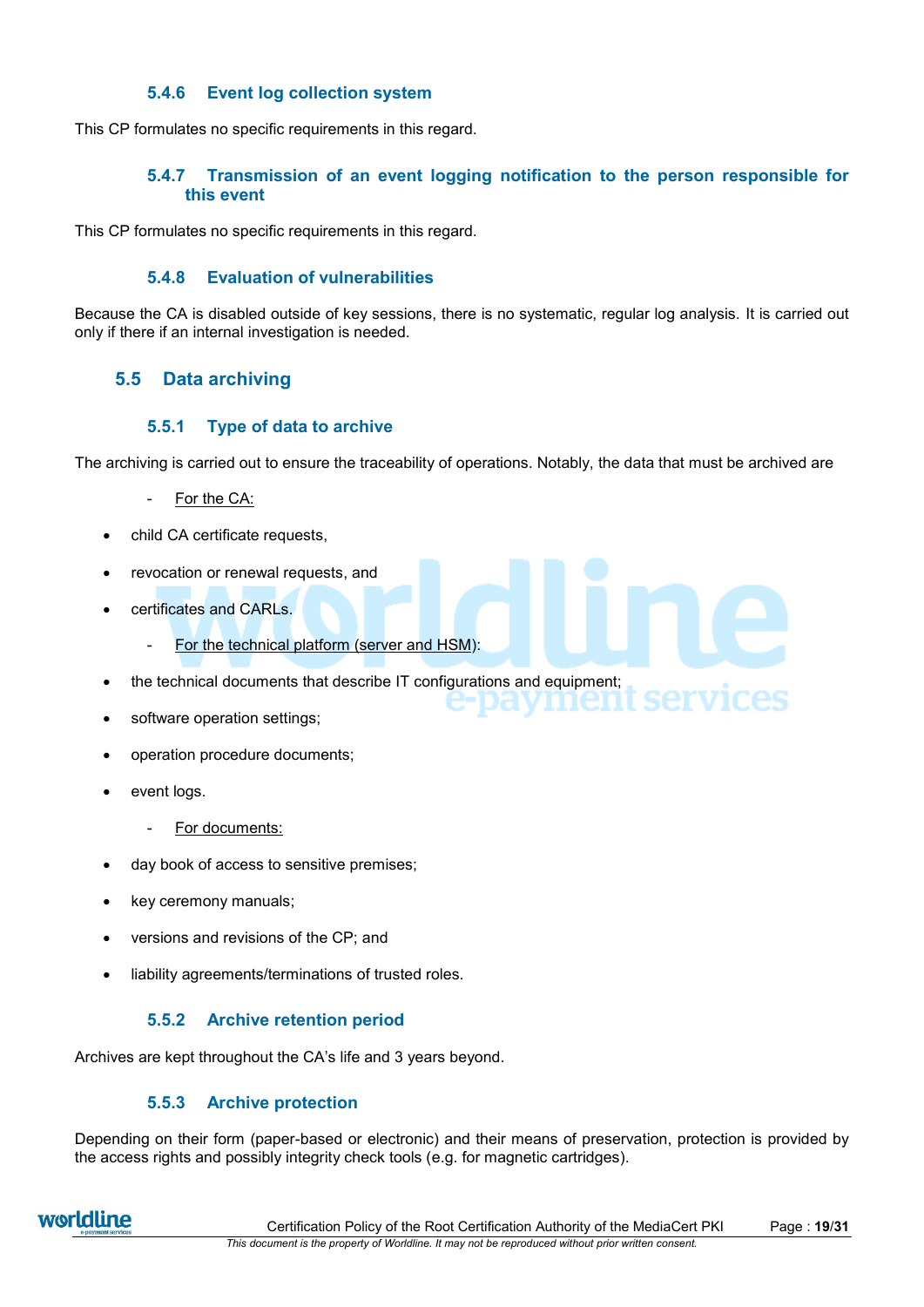## **5.4.6 Event log collection system**

This CP formulates no specific requirements in this regard.

## **5.4.7 Transmission of an event logging notification to the person responsible for this event**

This CP formulates no specific requirements in this regard.

## **5.4.8 Evaluation of vulnerabilities**

Because the CA is disabled outside of key sessions, there is no systematic, regular log analysis. It is carried out only if there if an internal investigation is needed.

# **5.5 Data archiving**

### **5.5.1 Type of data to archive**

The archiving is carried out to ensure the traceability of operations. Notably, the data that must be archived are

services

- For the CA:
- child CA certificate requests,
- revocation or renewal requests, and
- certificates and CARLs.
	- For the technical platform (server and HSM):
- the technical documents that describe IT configurations and equipment;
- software operation settings;
- operation procedure documents;
- event logs.
	- For documents:
- day book of access to sensitive premises;
- key ceremony manuals;
- versions and revisions of the CP; and
- liability agreements/terminations of trusted roles.

#### **5.5.2 Archive retention period**

Archives are kept throughout the CA's life and 3 years beyond.

## **5.5.3 Archive protection**

Depending on their form (paper-based or electronic) and their means of preservation, protection is provided by the access rights and possibly integrity check tools (e.g. for magnetic cartridges).

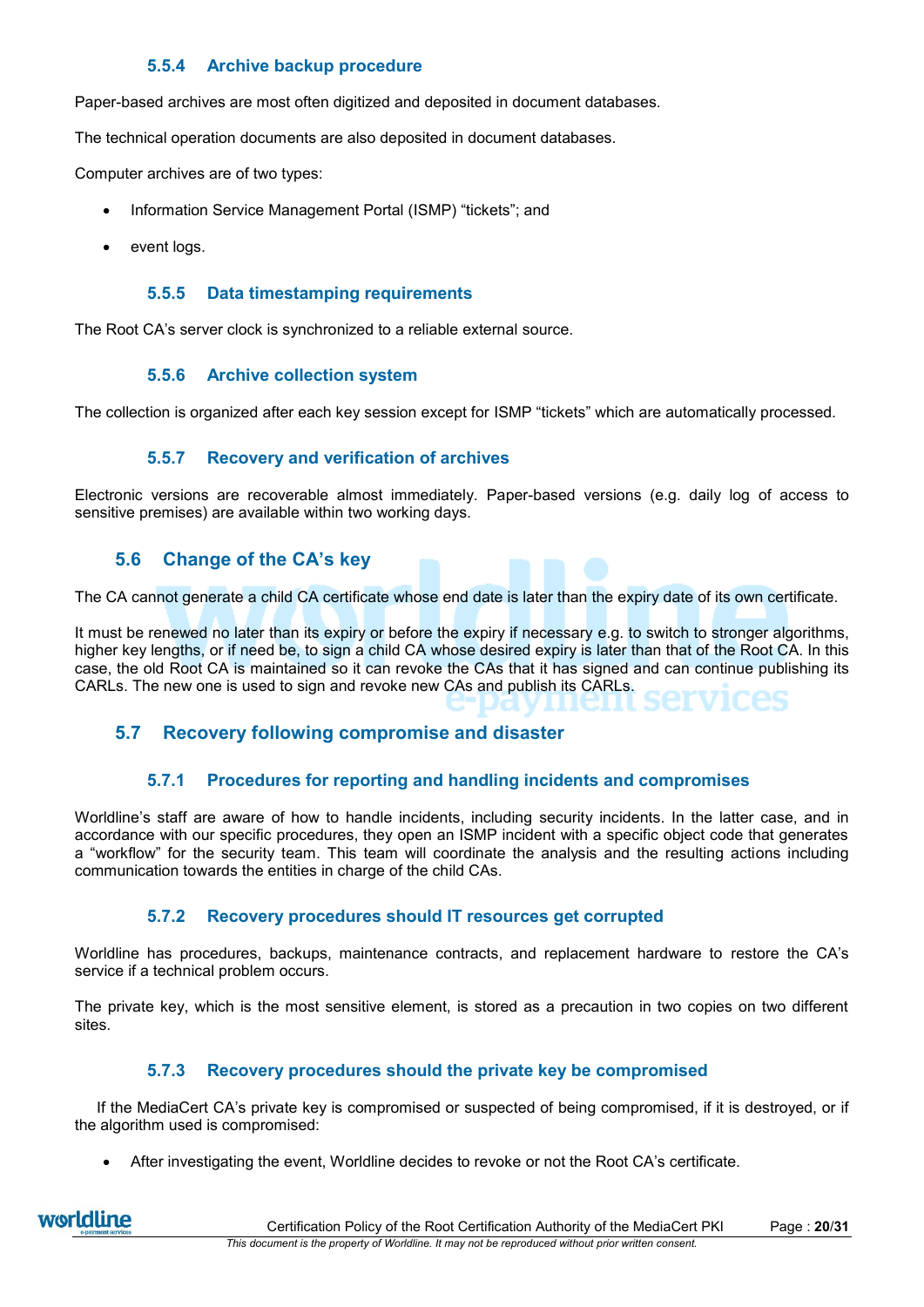# **5.5.4 Archive backup procedure**

Paper-based archives are most often digitized and deposited in document databases.

The technical operation documents are also deposited in document databases.

Computer archives are of two types:

- Information Service Management Portal (ISMP) "tickets"; and
- event logs.

#### **5.5.5 Data timestamping requirements**

The Root CA's server clock is synchronized to a reliable external source.

#### **5.5.6 Archive collection system**

The collection is organized after each key session except for ISMP "tickets" which are automatically processed.

### **5.5.7 Recovery and verification of archives**

Electronic versions are recoverable almost immediately. Paper-based versions (e.g. daily log of access to sensitive premises) are available within two working days.

# **5.6 Change of the CA's key**

The CA cannot generate a child CA certificate whose end date is later than the expiry date of its own certificate.

It must be renewed no later than its expiry or before the expiry if necessary e.g. to switch to stronger algorithms, higher key lengths, or if need be, to sign a child CA whose desired expiry is later than that of the Root CA. In this case, the old Root CA is maintained so it can revoke the CAs that it has signed and can continue publishing its CARLs. The new one is used to sign and revoke new CAs and publish its CARLs.

# **5.7 Recovery following compromise and disaster**

## **5.7.1 Procedures for reporting and handling incidents and compromises**

Worldline's staff are aware of how to handle incidents, including security incidents. In the latter case, and in accordance with our specific procedures, they open an ISMP incident with a specific object code that generates a "workflow" for the security team. This team will coordinate the analysis and the resulting actions including communication towards the entities in charge of the child CAs.

## **5.7.2 Recovery procedures should IT resources get corrupted**

Worldline has procedures, backups, maintenance contracts, and replacement hardware to restore the CA's service if a technical problem occurs.

The private key, which is the most sensitive element, is stored as a precaution in two copies on two different sites.

## **5.7.3 Recovery procedures should the private key be compromised**

If the MediaCert CA's private key is compromised or suspected of being compromised, if it is destroyed, or if the algorithm used is compromised:

After investigating the event, Worldline decides to revoke or not the Root CA's certificate.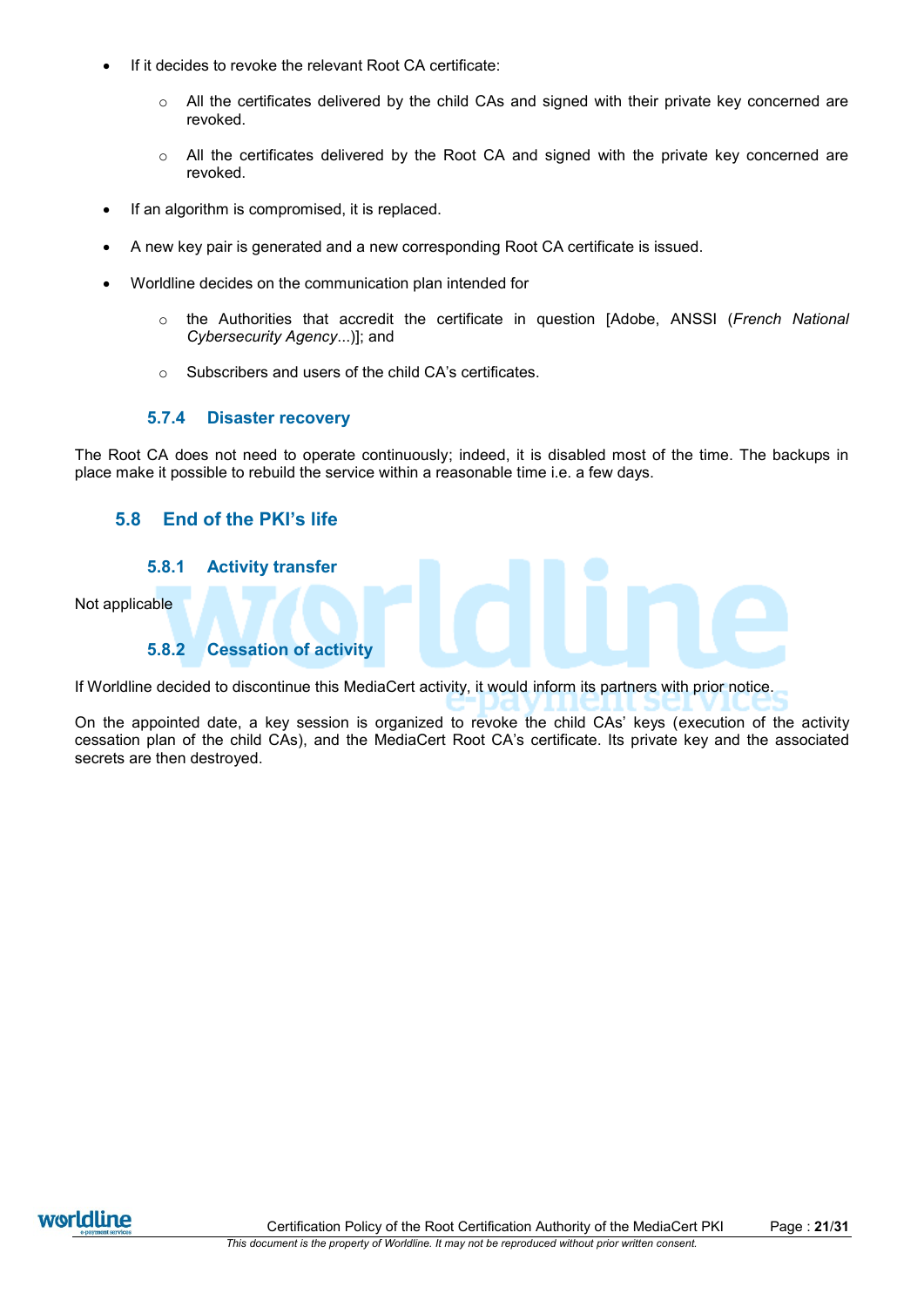- If it decides to revoke the relevant Root CA certificate:
	- $\circ$  All the certificates delivered by the child CAs and signed with their private key concerned are revoked.
	- $\circ$  All the certificates delivered by the Root CA and signed with the private key concerned are revoked.
- If an algorithm is compromised, it is replaced.
- A new key pair is generated and a new corresponding Root CA certificate is issued.
- Worldline decides on the communication plan intended for
	- o the Authorities that accredit the certificate in question [Adobe, ANSSI (*French National Cybersecurity Agency*...)]; and
	- o Subscribers and users of the child CA's certificates.

### **5.7.4 Disaster recovery**

The Root CA does not need to operate continuously; indeed, it is disabled most of the time. The backups in place make it possible to rebuild the service within a reasonable time i.e. a few days.

# **5.8 End of the PKI's life**

### **5.8.1 Activity transfer**

Not applicable

## **5.8.2 Cessation of activity**

If Worldline decided to discontinue this MediaCert activity, it would inform its partners with prior notice.

On the appointed date, a key session is organized to revoke the child CAs' keys (execution of the activity cessation plan of the child CAs), and the MediaCert Root CA's certificate. Its private key and the associated secrets are then destroyed.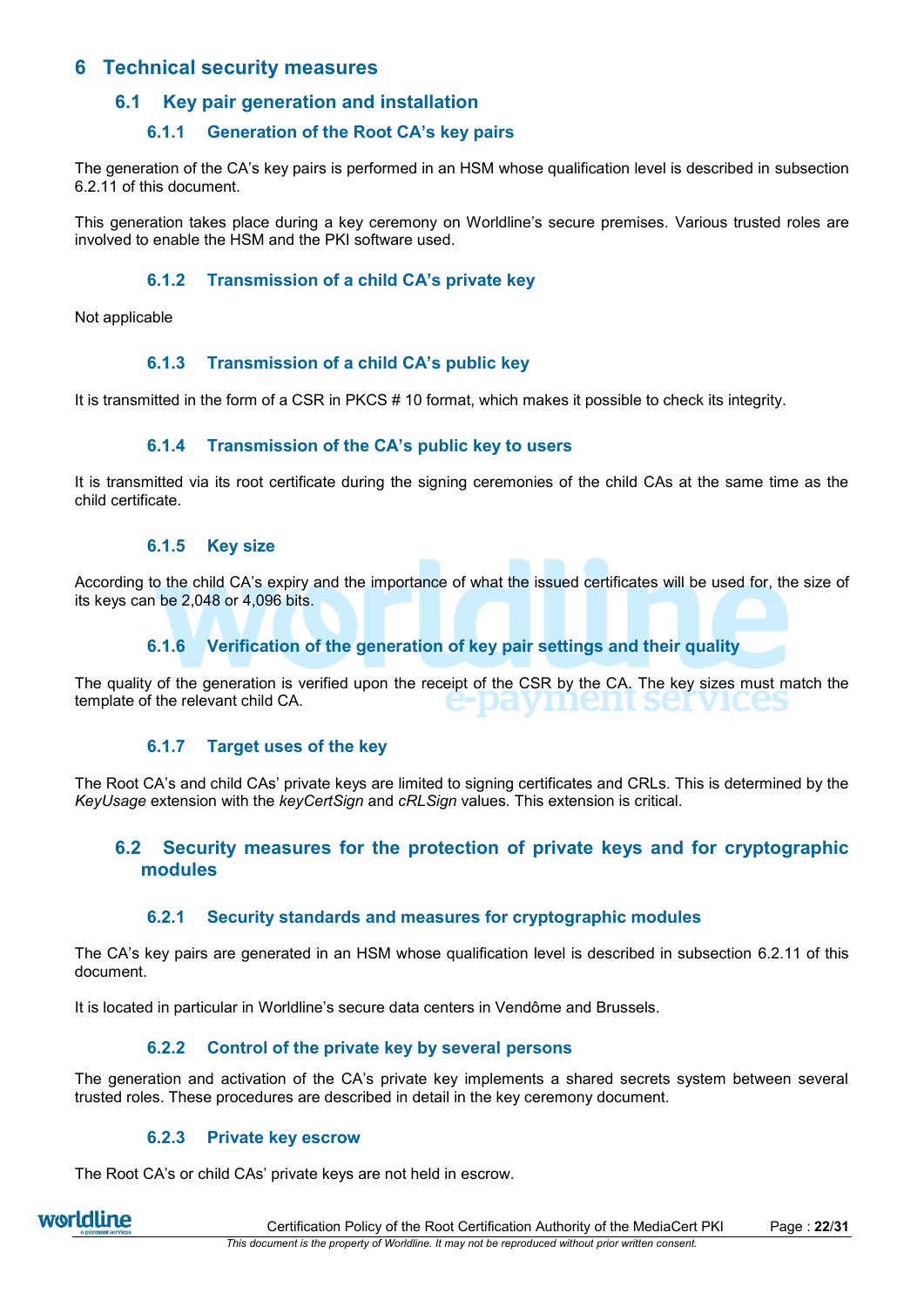# **6 Technical security measures**

# **6.1 Key pair generation and installation**

# **6.1.1 Generation of the Root CA's key pairs**

The generation of the CA's key pairs is performed in an HSM whose qualification level is described in subsection [6.2.11](#page-22-0) of this document.

This generation takes place during a key ceremony on Worldline's secure premises. Various trusted roles are involved to enable the HSM and the PKI software used.

## **6.1.2 Transmission of a child CA's private key**

Not applicable

## **6.1.3 Transmission of a child CA's public key**

It is transmitted in the form of a CSR in PKCS # 10 format, which makes it possible to check its integrity.

### **6.1.4 Transmission of the CA's public key to users**

It is transmitted via its root certificate during the signing ceremonies of the child CAs at the same time as the child certificate.

### **6.1.5 Key size**

According to the child CA's expiry and the importance of what the issued certificates will be used for, the size of its keys can be 2,048 or 4,096 bits.

## **6.1.6 Verification of the generation of key pair settings and their quality**

The quality of the generation is verified upon the receipt of the CSR by the CA. The key sizes must match the template of the relevant child CA.

## **6.1.7 Target uses of the key**

The Root CA's and child CAs' private keys are limited to signing certificates and CRLs. This is determined by the *KeyUsage* extension with the *keyCertSign* and *cRLSign* values*.* This extension is critical.

# **6.2 Security measures for the protection of private keys and for cryptographic modules**

## **6.2.1 Security standards and measures for cryptographic modules**

The CA's key pairs are generated in an HSM whose qualification level is described in subsection [6.2.11](#page-22-0) of this document.

It is located in particular in Worldline's secure data centers in Vendôme and Brussels.

## **6.2.2 Control of the private key by several persons**

The generation and activation of the CA's private key implements a shared secrets system between several trusted roles. These procedures are described in detail in the key ceremony document.

#### **6.2.3 Private key escrow**

The Root CA's or child CAs' private keys are not held in escrow.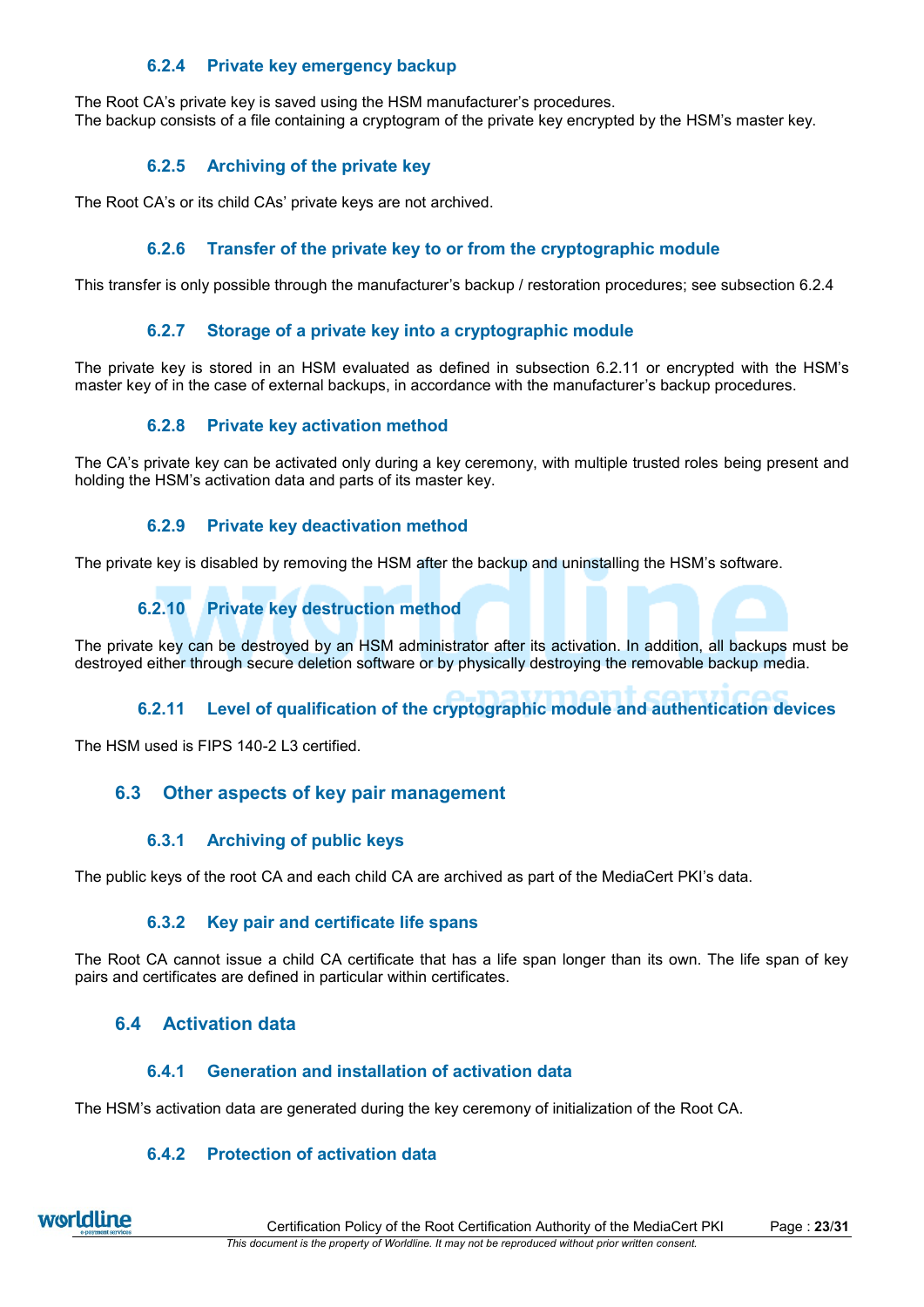# **6.2.4 Private key emergency backup**

<span id="page-22-1"></span>The Root CA's private key is saved using the HSM manufacturer's procedures. The backup consists of a file containing a cryptogram of the private key encrypted by the HSM's master key.

# **6.2.5 Archiving of the private key**

The Root CA's or its child CAs' private keys are not archived.

# **6.2.6 Transfer of the private key to or from the cryptographic module**

This transfer is only possible through the manufacturer's backup / restoration procedures; see subsection [6.2.4](#page-22-1)

# **6.2.7 Storage of a private key into a cryptographic module**

The private key is stored in an HSM evaluated as defined in subsection [6.2.11](#page-22-0) or encrypted with the HSM's master key of in the case of external backups, in accordance with the manufacturer's backup procedures.

## **6.2.8 Private key activation method**

The CA's private key can be activated only during a key ceremony, with multiple trusted roles being present and holding the HSM's activation data and parts of its master key.

## **6.2.9 Private key deactivation method**

The private key is disabled by removing the HSM after the backup and uninstalling the HSM's software.

# **6.2.10 Private key destruction method**

The private key can be destroyed by an HSM administrator after its activation. In addition, all backups must be destroyed either through secure deletion software or by physically destroying the removable backup media.

# **6.2.11 Level of qualification of the cryptographic module and authentication devices**

<span id="page-22-0"></span>The HSM used is FIPS 140-2 L3 certified.

# **6.3 Other aspects of key pair management**

## **6.3.1 Archiving of public keys**

The public keys of the root CA and each child CA are archived as part of the MediaCert PKI's data.

## **6.3.2 Key pair and certificate life spans**

The Root CA cannot issue a child CA certificate that has a life span longer than its own. The life span of key pairs and certificates are defined in particular within certificates.

# **6.4 Activation data**

## **6.4.1 Generation and installation of activation data**

The HSM's activation data are generated during the key ceremony of initialization of the Root CA.

# **6.4.2 Protection of activation data**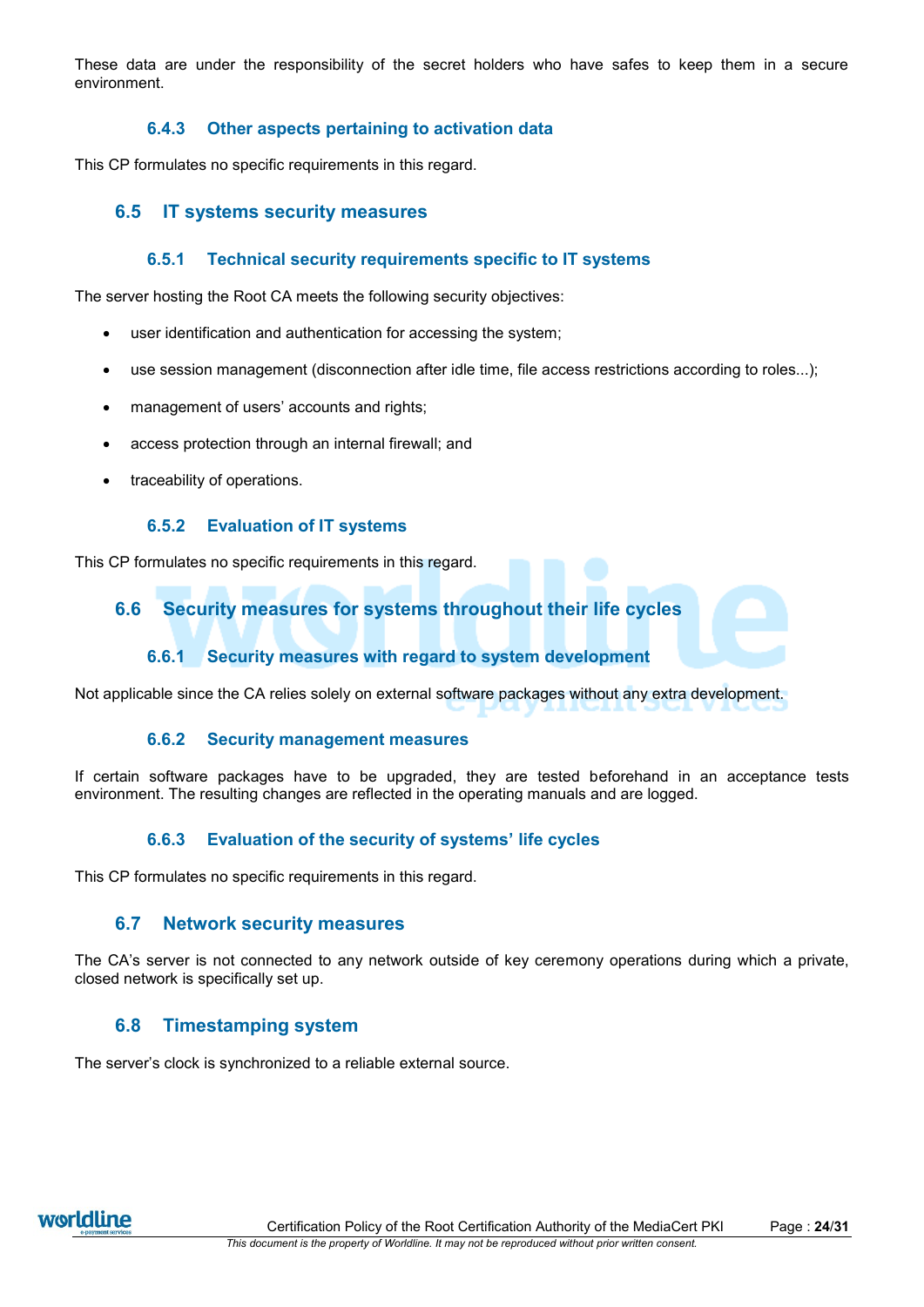These data are under the responsibility of the secret holders who have safes to keep them in a secure environment.

# **6.4.3 Other aspects pertaining to activation data**

This CP formulates no specific requirements in this regard.

# **6.5 IT systems security measures**

### **6.5.1 Technical security requirements specific to IT systems**

The server hosting the Root CA meets the following security objectives:

- user identification and authentication for accessing the system;
- use session management (disconnection after idle time, file access restrictions according to roles...);
- management of users' accounts and rights;
- access protection through an internal firewall; and
- traceability of operations.

#### **6.5.2 Evaluation of IT systems**

This CP formulates no specific requirements in this regard.

# **6.6 Security measures for systems throughout their life cycles**

## **6.6.1 Security measures with regard to system development**

Not applicable since the CA relies solely on external software packages without any extra development.

#### **6.6.2 Security management measures**

If certain software packages have to be upgraded, they are tested beforehand in an acceptance tests environment. The resulting changes are reflected in the operating manuals and are logged.

## **6.6.3 Evaluation of the security of systems' life cycles**

This CP formulates no specific requirements in this regard.

## **6.7 Network security measures**

The CA's server is not connected to any network outside of key ceremony operations during which a private, closed network is specifically set up.

## **6.8 Timestamping system**

The server's clock is synchronized to a reliable external source.

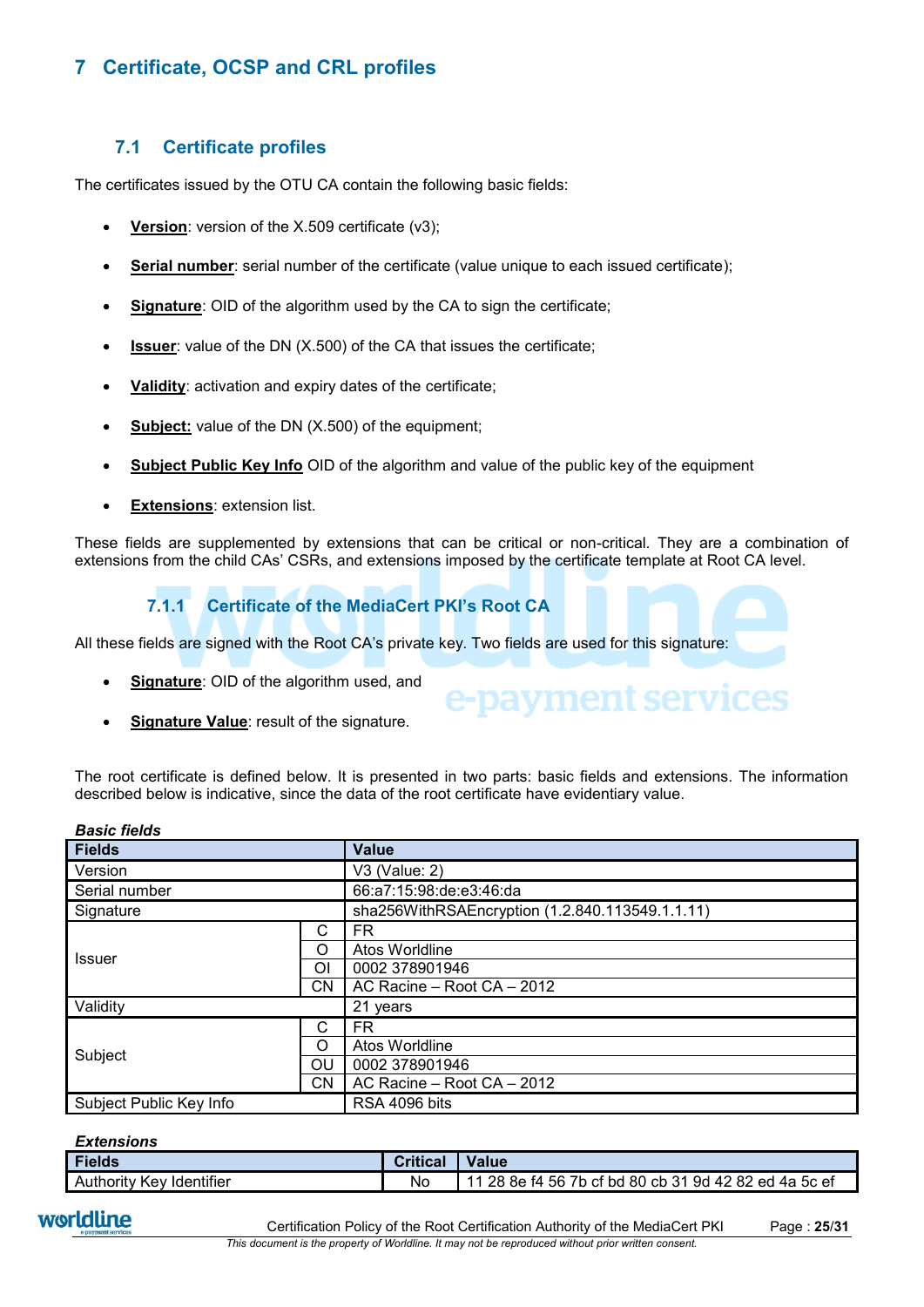# **7 Certificate, OCSP and CRL profiles**

# <span id="page-24-0"></span>**7.1 Certificate profiles**

The certificates issued by the OTU CA contain the following basic fields:

- **Version**: version of the X.509 certificate (v3);
- **Serial number**: serial number of the certificate (value unique to each issued certificate);
- **Signature**: OID of the algorithm used by the CA to sign the certificate;
- **Issuer:** value of the DN (X.500) of the CA that issues the certificate;
- **Validity**: activation and expiry dates of the certificate;
- **Subject:** value of the DN (X.500) of the equipment;
- **Subject Public Key Info** OID of the algorithm and value of the public key of the equipment
- **Extensions**: extension list.

These fields are supplemented by extensions that can be critical or non-critical. They are a combination of extensions from the child CAs' CSRs, and extensions imposed by the certificate template at Root CA level.

# **7.1.1 Certificate of the MediaCert PKI's Root CA**

All these fields are signed with the Root CA's private key. Two fields are used for this signature:

- **Signature**: OID of the algorithm used, and
- **Signature Value**: result of the signature.

The root certificate is defined below. It is presented in two parts: basic fields and extensions. The information described below is indicative, since the data of the root certificate have evidentiary value.

e-payment services

| <b>Fields</b>           |           | <b>Value</b>                                    |
|-------------------------|-----------|-------------------------------------------------|
| Version                 |           | V3 (Value: 2)                                   |
| Serial number           |           | 66:a7:15:98:de:e3:46:da                         |
| Signature               |           | sha256WithRSAEncryption (1.2.840.113549.1.1.11) |
|                         | С         | FR.                                             |
| <b>Issuer</b>           | Ω         | Atos Worldline                                  |
|                         | Οl        | 0002 378901946                                  |
|                         | CN        | AC Racine - Root CA - 2012                      |
| Validity                |           | 21 years                                        |
|                         | С         | FR.                                             |
| Subject                 | O         | Atos Worldline                                  |
|                         | OU        | 0002 378901946                                  |
|                         | <b>CN</b> | AC Racine - Root CA - 2012                      |
| Subject Public Key Info |           | RSA 4096 bits                                   |

#### *Extensions*

*Basic fields*

| EAWINDIVII               |          |                                                       |  |  |
|--------------------------|----------|-------------------------------------------------------|--|--|
| <b>Fields</b>            | Critical | <b>Value</b>                                          |  |  |
| Authority Key Identifier | Νo       | 11 28 8e f4 56 7b cf bd 80 cb 31 9d 42 82 ed 4a 5c ef |  |  |

worldline

Certification Policy of the Root Certification Authority of the MediaCert PKI Page : **25**/**31**

*This document is the property of Worldline. It may not be reproduced without prior written consent.*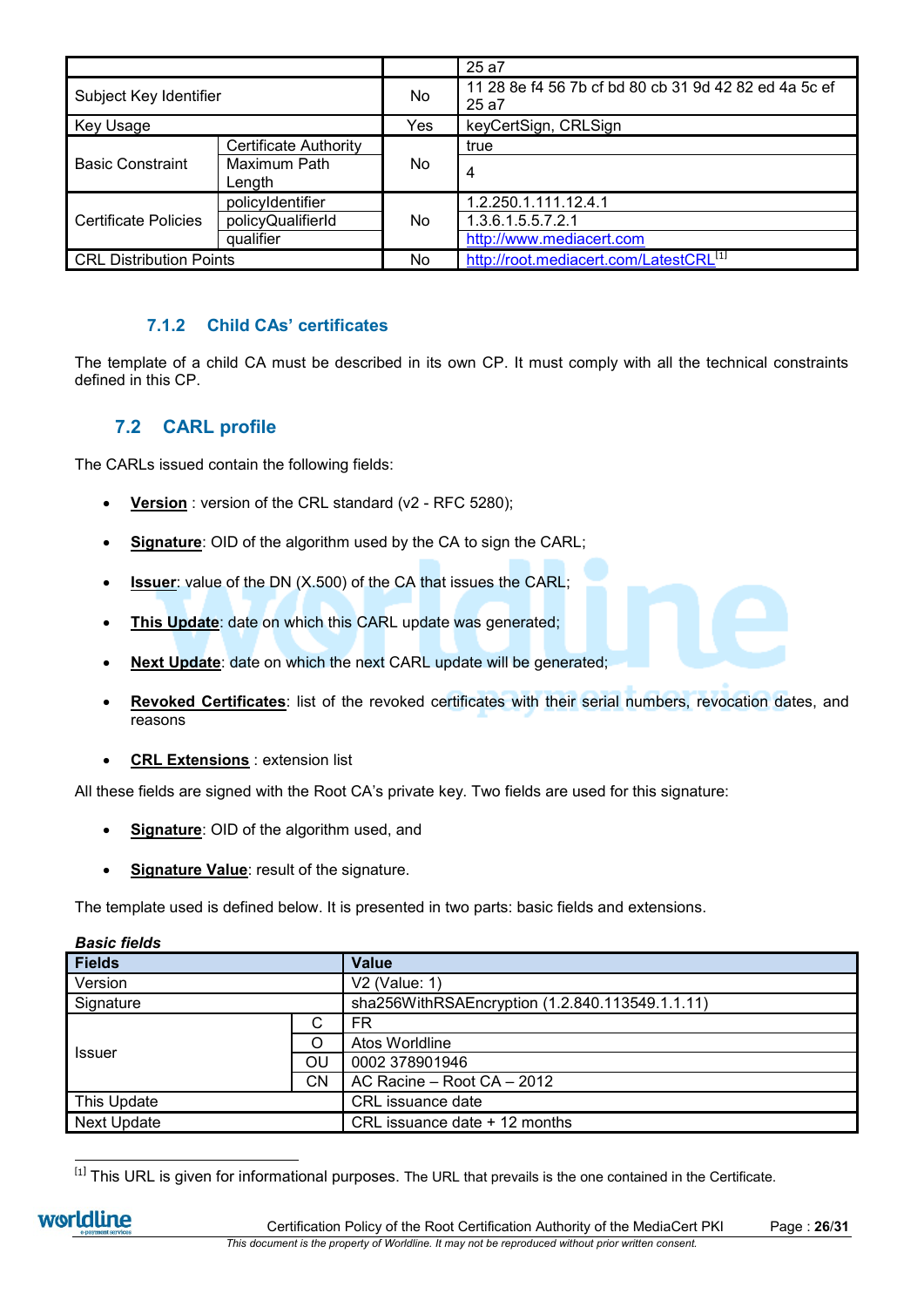|                                |                              |     | 25 a7                                                          |
|--------------------------------|------------------------------|-----|----------------------------------------------------------------|
| Subject Key Identifier         |                              | No. | 11 28 8e f4 56 7b cf bd 80 cb 31 9d 42 82 ed 4a 5c ef<br>25 a7 |
| Key Usage                      |                              | Yes | keyCertSign, CRLSign                                           |
|                                | <b>Certificate Authority</b> | No. | true                                                           |
| <b>Basic Constraint</b>        | Maximum Path                 |     | 4                                                              |
|                                | Length                       |     |                                                                |
|                                | policyIdentifier             | No. | 1.2.250.1.111.12.4.1                                           |
| <b>Certificate Policies</b>    | policyQualifierId            |     | 1.3.6.1.5.5.7.2.1                                              |
|                                | qualifier                    |     | http://www.mediacert.com                                       |
| <b>CRL Distribution Points</b> |                              | No  | http://root.mediacert.com/LatestCRL <sup>[1]</sup>             |

# **7.1.2 Child CAs' certificates**

The template of a child CA must be described in its own CP. It must comply with all the technical constraints defined in this CP.

# **7.2 CARL profile**

The CARLs issued contain the following fields:

- Version : version of the CRL standard (v2 RFC 5280);
- **Signature**: OID of the algorithm used by the CA to sign the CARL;
- **Issuer**: value of the DN (X.500) of the CA that issues the CARL;
- **This Update**: date on which this CARL update was generated;
- **Next Update**: date on which the next CARL update will be generated;
- **Revoked Certificates**: list of the revoked certificates with their serial numbers, revocation dates, and reasons
- **CRL Extensions** : extension list

All these fields are signed with the Root CA's private key. Two fields are used for this signature:

- **Signature**: OID of the algorithm used, and
- **Signature Value: result of the signature.**

The template used is defined below. It is presented in two parts: basic fields and extensions.

| טטוס חטש  |                                                 |  |  |  |
|-----------|-------------------------------------------------|--|--|--|
|           | <b>Value</b>                                    |  |  |  |
|           | V2 (Value: 1)                                   |  |  |  |
|           | sha256WithRSAEncryption (1.2.840.113549.1.1.11) |  |  |  |
| С         | FR                                              |  |  |  |
| ∩         | Atos Worldline                                  |  |  |  |
| OU        | 0002 378901946                                  |  |  |  |
| <b>CN</b> | AC Racine - Root CA - 2012                      |  |  |  |
|           | CRL issuance date                               |  |  |  |
|           | CRL issuance date + 12 months                   |  |  |  |
|           |                                                 |  |  |  |

*Basic fields*

This URL is given for informational purposes. The URL that prevails is the one contained in the Certificate.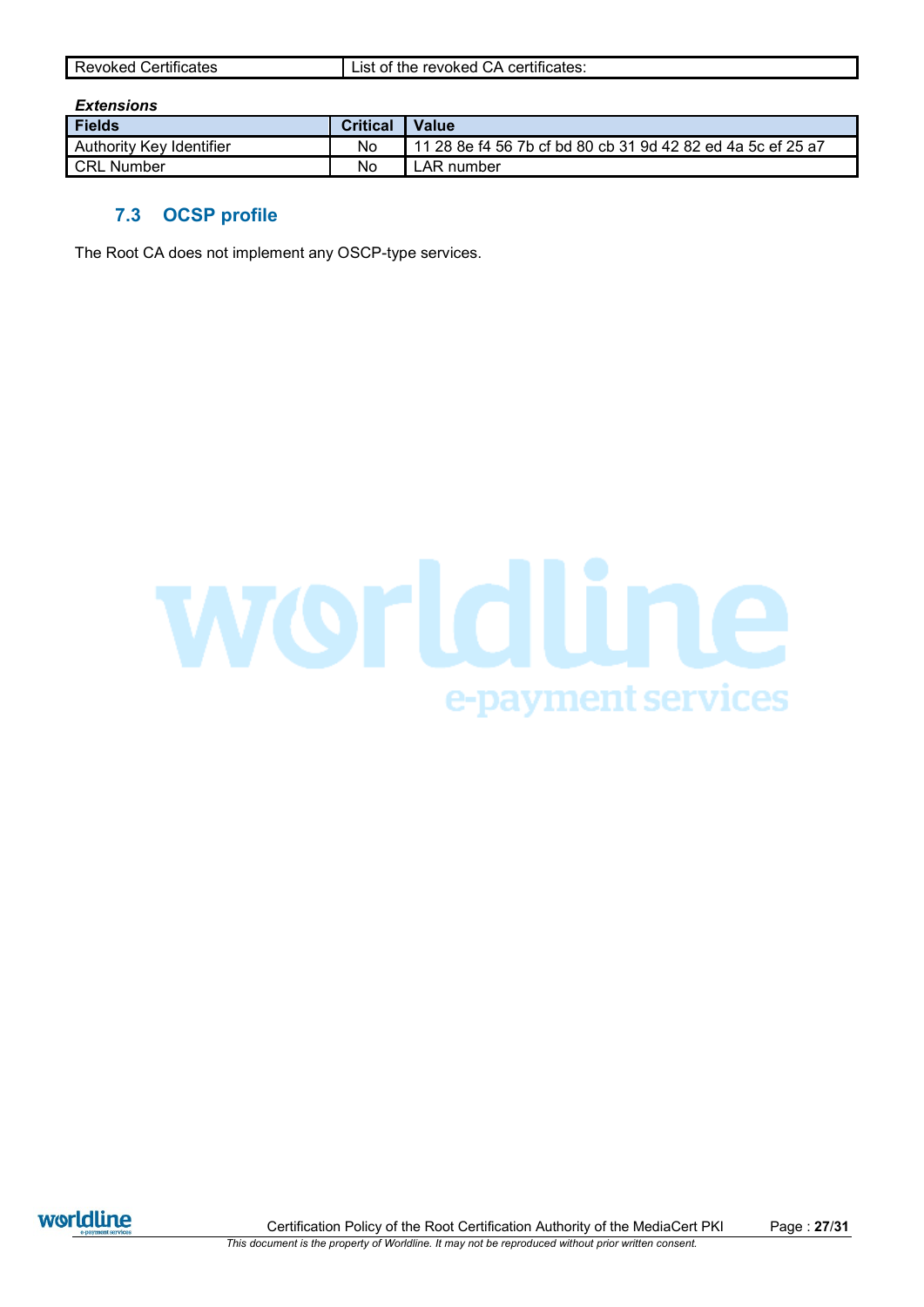## *Extensions*

| <b>Fields</b>            | <b>Critical</b> | Value                                                       |
|--------------------------|-----------------|-------------------------------------------------------------|
| Authority Key Identifier | No              | 11 28 8e f4 56 7b cf bd 80 cb 31 9d 42 82 ed 4a 5c ef 25 a7 |
| <b>CRL Number</b>        | No              | <sub>-</sub> AR number                                      |

# **7.3 OCSP profile**

The Root CA does not implement any OSCP-type services.





Certification Policy of the Root Certification Authority of the MediaCert PKI Page : **27**/**31** *This document is the property of Worldline. It may not be reproduced without prior written consent.*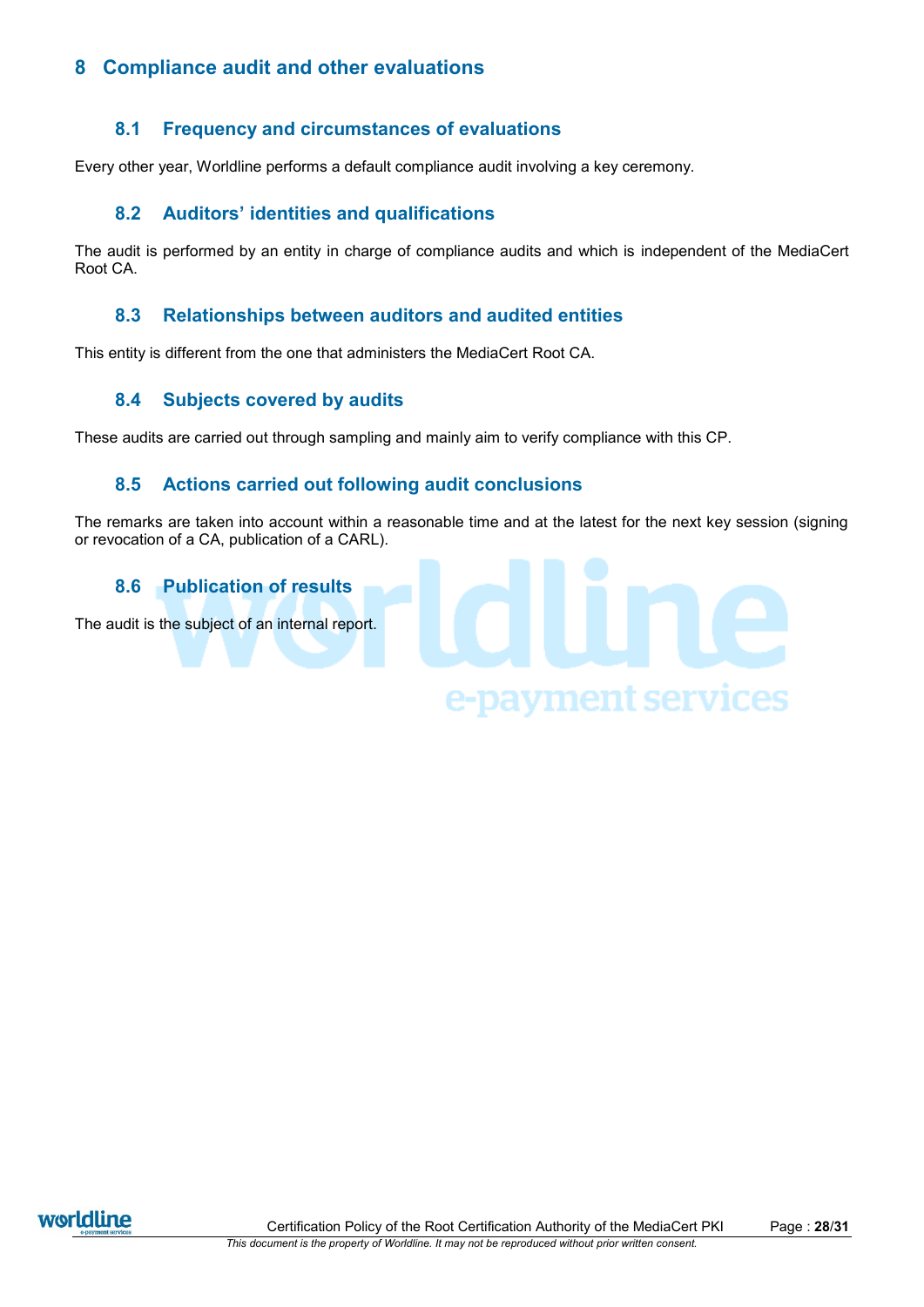# **8 Compliance audit and other evaluations**

# **8.1 Frequency and circumstances of evaluations**

Every other year, Worldline performs a default compliance audit involving a key ceremony.

# **8.2 Auditors' identities and qualifications**

The audit is performed by an entity in charge of compliance audits and which is independent of the MediaCert Root CA.

# **8.3 Relationships between auditors and audited entities**

This entity is different from the one that administers the MediaCert Root CA.

# **8.4 Subjects covered by audits**

These audits are carried out through sampling and mainly aim to verify compliance with this CP.

# **8.5 Actions carried out following audit conclusions**

The remarks are taken into account within a reasonable time and at the latest for the next key session (signing or revocation of a CA, publication of a CARL).

# **8.6 Publication of results** The audit is the subject of an internal report.e-payment services

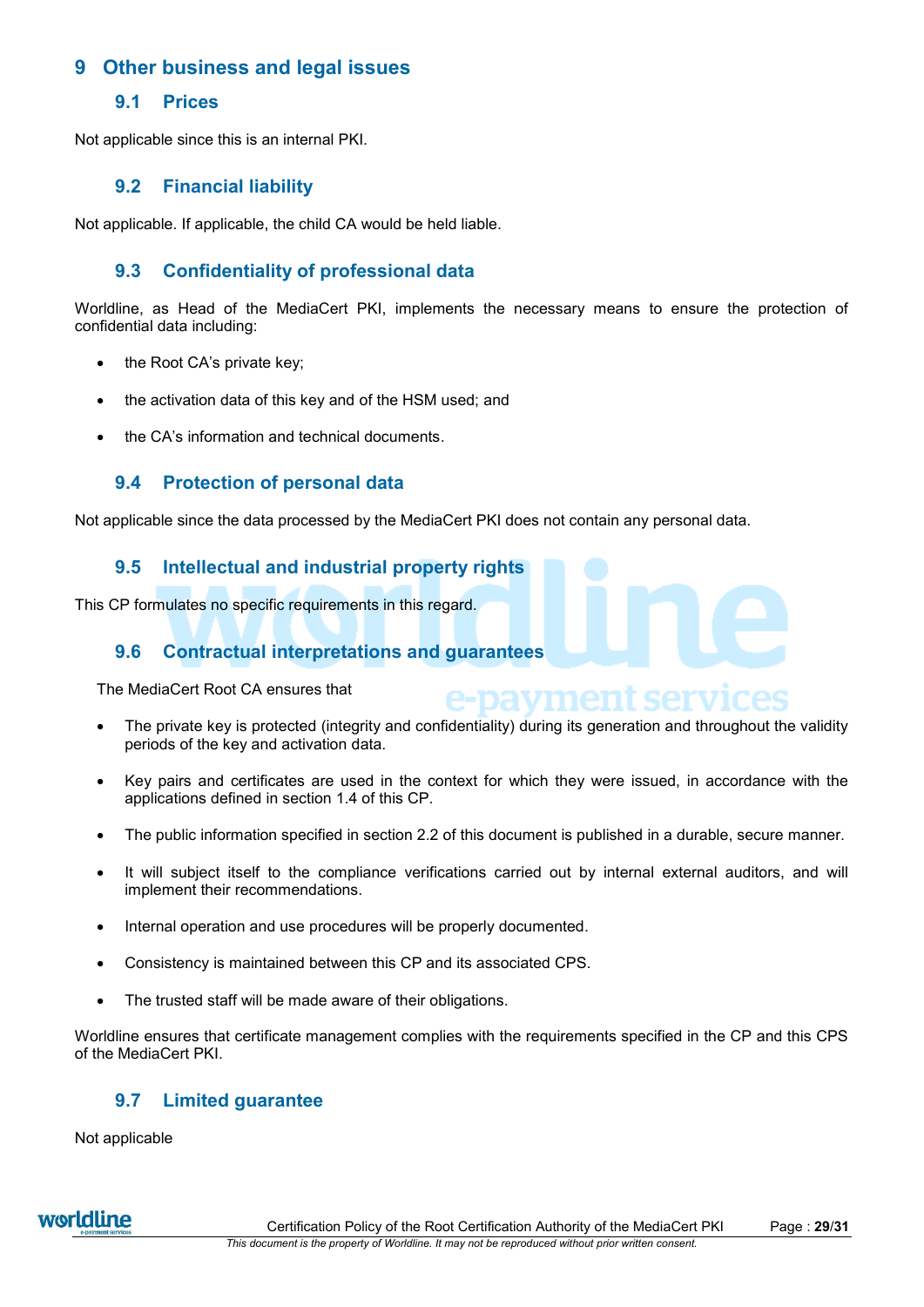# **9 Other business and legal issues**

# **9.1 Prices**

Not applicable since this is an internal PKI.

# **9.2 Financial liability**

Not applicable. If applicable, the child CA would be held liable.

# **9.3 Confidentiality of professional data**

Worldline, as Head of the MediaCert PKI, implements the necessary means to ensure the protection of confidential data including:

- the Root CA's private key:
- the activation data of this key and of the HSM used; and
- the CA's information and technical documents.

# **9.4 Protection of personal data**

Not applicable since the data processed by the MediaCert PKI does not contain any personal data.

# **9.5 Intellectual and industrial property rights**

This CP formulates no specific requirements in this regard.

# **9.6 Contractual interpretations and guarantees**

The MediaCert Root CA ensures that

 The private key is protected (integrity and confidentiality) during its generation and throughout the validity periods of the key and activation data.

t serv

- Key pairs and certificates are used in the context for which they were issued, in accordance with the applications defined in section [1.4](#page-5-0) of this CP.
- The public information specified in section [2.2](#page-7-0) of this document is published in a durable, secure manner.
- It will subject itself to the compliance verifications carried out by internal external auditors, and will implement their recommendations.
- Internal operation and use procedures will be properly documented.
- Consistency is maintained between this CP and its associated CPS.
- The trusted staff will be made aware of their obligations.

Worldline ensures that certificate management complies with the requirements specified in the CP and this CPS of the MediaCert PKI.

# **9.7 Limited guarantee**

Not applicable

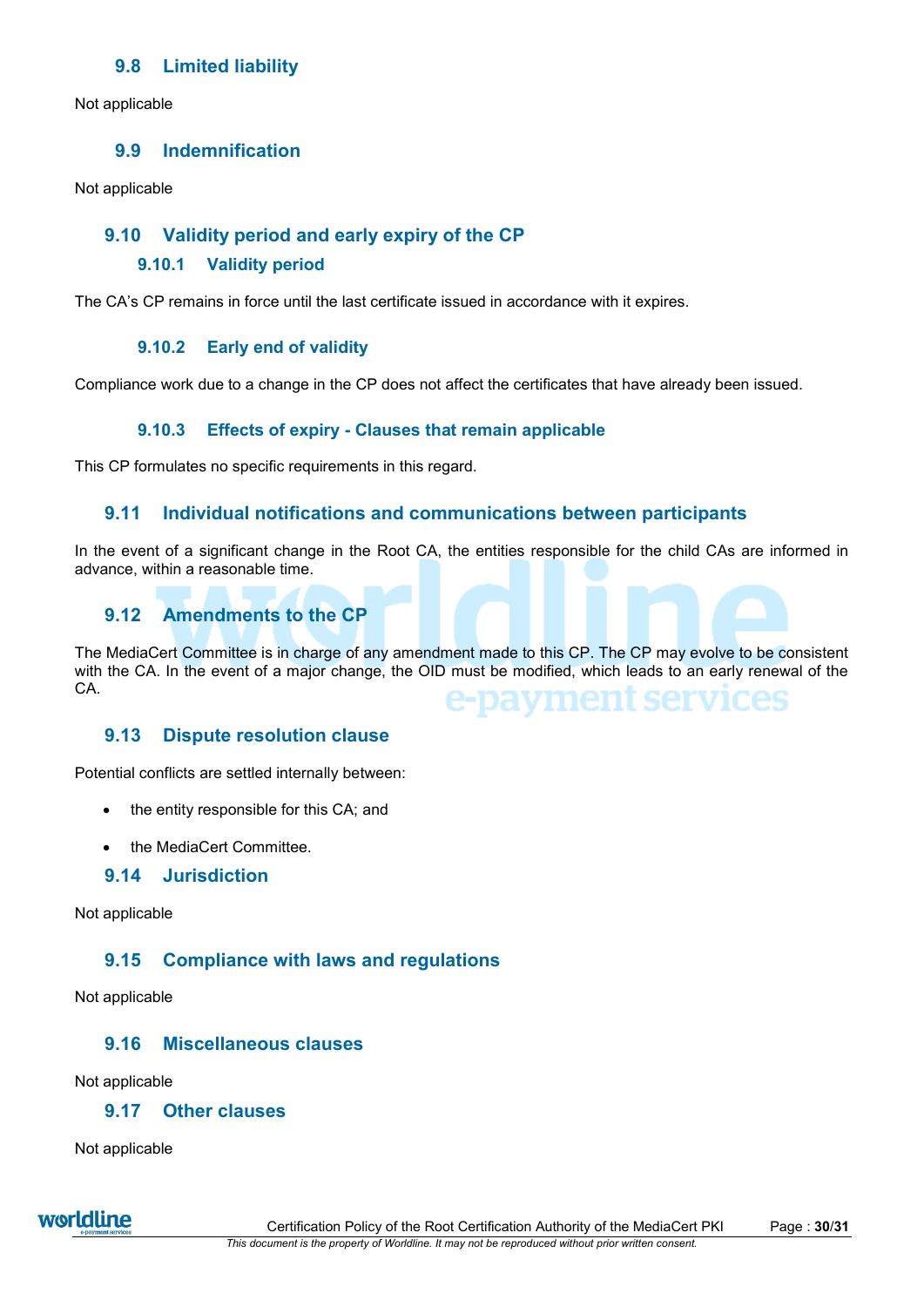# **9.8 Limited liability**

Not applicable

# **9.9 Indemnification**

Not applicable

# **9.10 Validity period and early expiry of the CP**

### **9.10.1 Validity period**

The CA's CP remains in force until the last certificate issued in accordance with it expires.

### **9.10.2 Early end of validity**

Compliance work due to a change in the CP does not affect the certificates that have already been issued.

### **9.10.3 Effects of expiry - Clauses that remain applicable**

This CP formulates no specific requirements in this regard.

# **9.11 Individual notifications and communications between participants**

In the event of a significant change in the Root CA, the entities responsible for the child CAs are informed in advance, within a reasonable time.

# **9.12 Amendments to the CP**

The MediaCert Committee is in charge of any amendment made to this CP. The CP may evolve to be consistent with the CA. In the event of a major change, the OID must be modified, which leads to an early renewal of the CA. mer

## **9.13 Dispute resolution clause**

Potential conflicts are settled internally between:

- the entity responsible for this CA; and
- the MediaCert Committee

## **9.14 Jurisdiction**

Not applicable

# **9.15 Compliance with laws and regulations**

Not applicable

# **9.16 Miscellaneous clauses**

Not applicable

# **9.17 Other clauses**

Not applicable

worldline